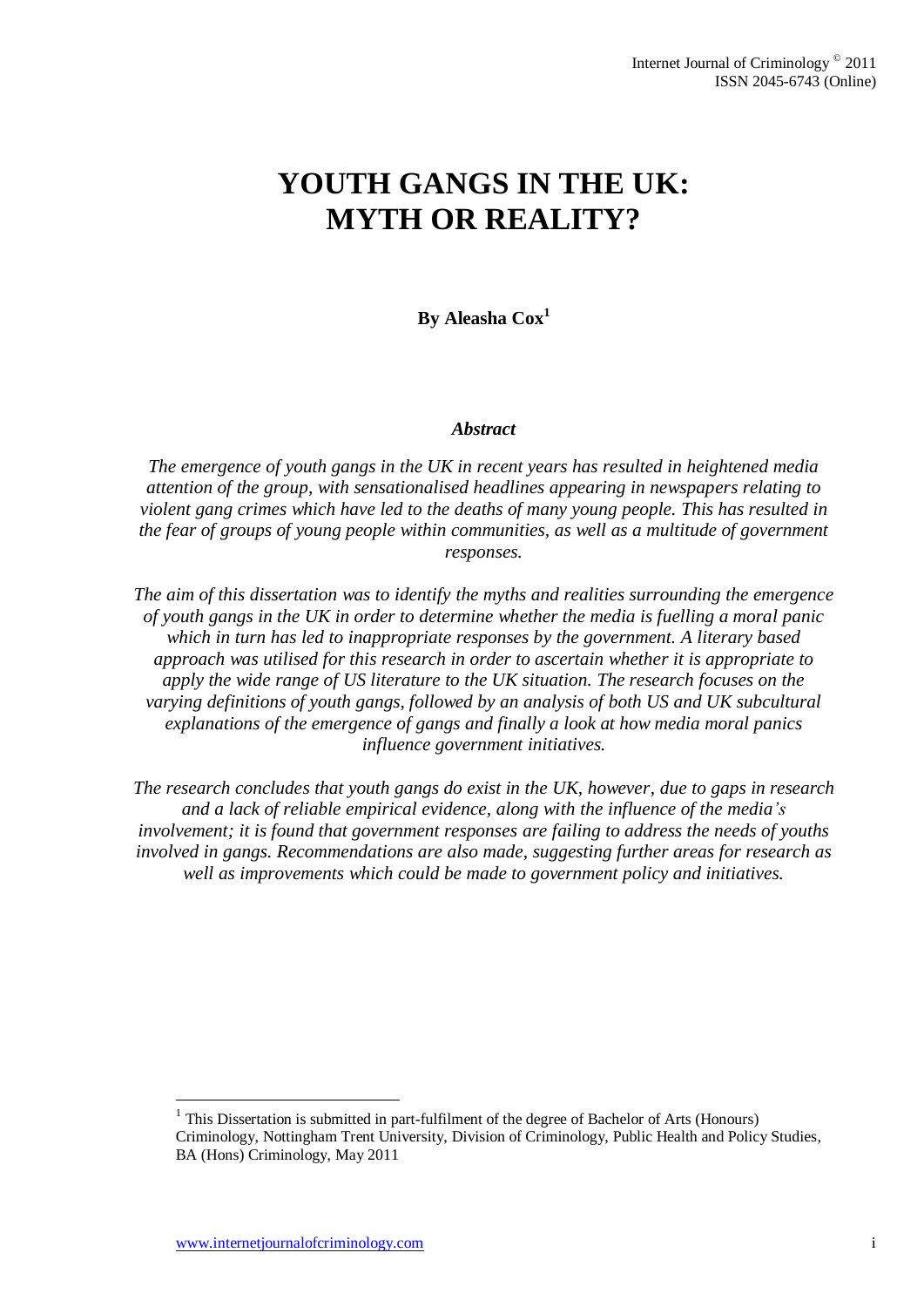# **YOUTH GANGS IN THE UK: MYTH OR REALITY?**

# **By Aleasha Cox<sup>1</sup>**

#### *Abstract*

*The emergence of youth gangs in the UK in recent years has resulted in heightened media attention of the group, with sensationalised headlines appearing in newspapers relating to violent gang crimes which have led to the deaths of many young people. This has resulted in the fear of groups of young people within communities, as well as a multitude of government responses.*

*The aim of this dissertation was to identify the myths and realities surrounding the emergence of youth gangs in the UK in order to determine whether the media is fuelling a moral panic which in turn has led to inappropriate responses by the government. A literary based approach was utilised for this research in order to ascertain whether it is appropriate to apply the wide range of US literature to the UK situation. The research focuses on the varying definitions of youth gangs, followed by an analysis of both US and UK subcultural explanations of the emergence of gangs and finally a look at how media moral panics influence government initiatives.*

*The research concludes that youth gangs do exist in the UK, however, due to gaps in research and a lack of reliable empirical evidence, along with the influence of the media's involvement; it is found that government responses are failing to address the needs of youths involved in gangs. Recommendations are also made, suggesting further areas for research as well as improvements which could be made to government policy and initiatives.*

1

 $<sup>1</sup>$  This Dissertation is submitted in part-fulfilment of the degree of Bachelor of Arts (Honours)</sup> Criminology, Nottingham Trent University, Division of Criminology, Public Health and Policy Studies, BA (Hons) Criminology, May 2011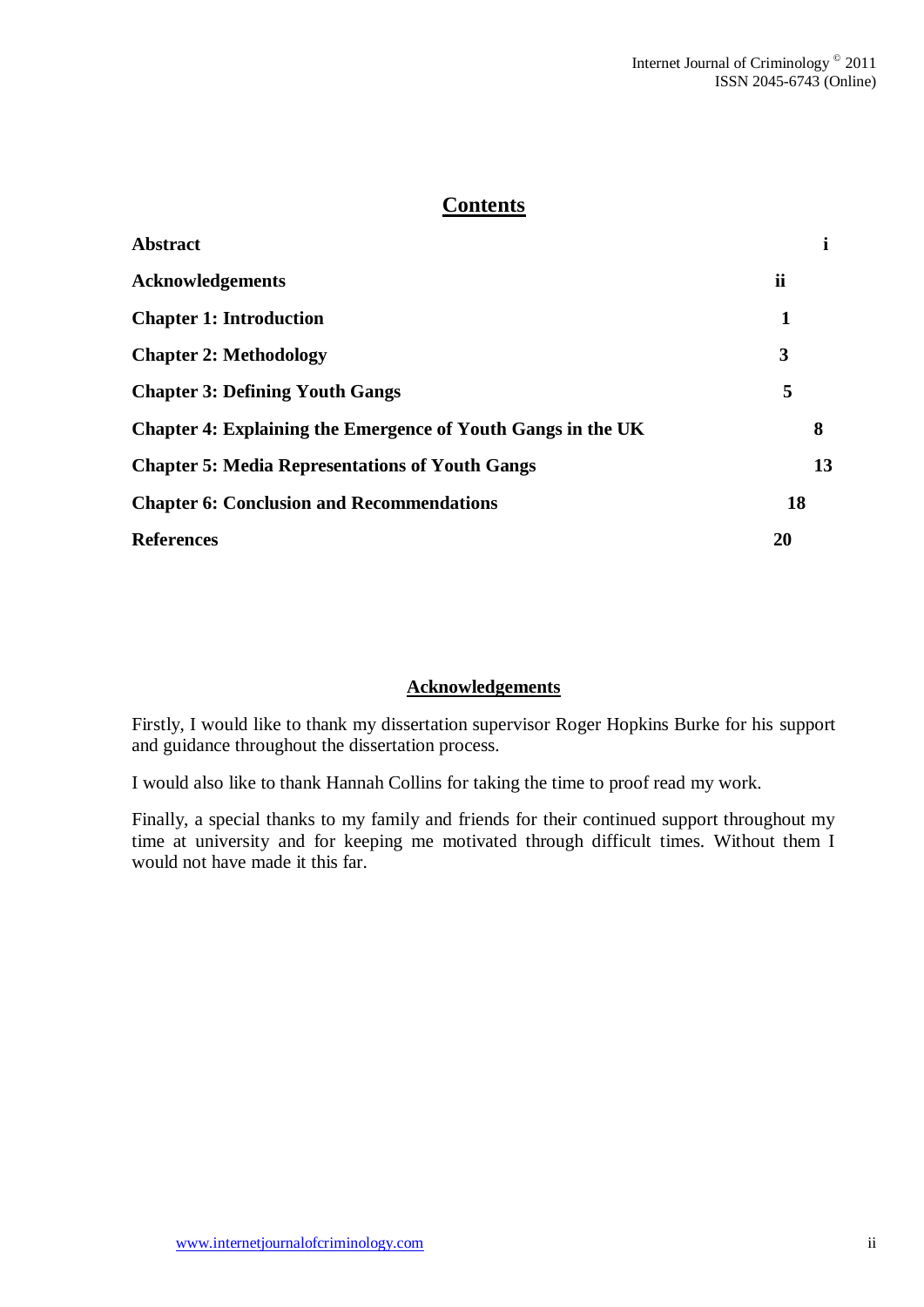# **Contents**

| ii |
|----|
| 1  |
| 3  |
| 5  |
| 8  |
| 13 |
| 18 |
| 20 |
|    |

## **Acknowledgements**

Firstly, I would like to thank my dissertation supervisor Roger Hopkins Burke for his support and guidance throughout the dissertation process.

I would also like to thank Hannah Collins for taking the time to proof read my work.

Finally, a special thanks to my family and friends for their continued support throughout my time at university and for keeping me motivated through difficult times. Without them I would not have made it this far.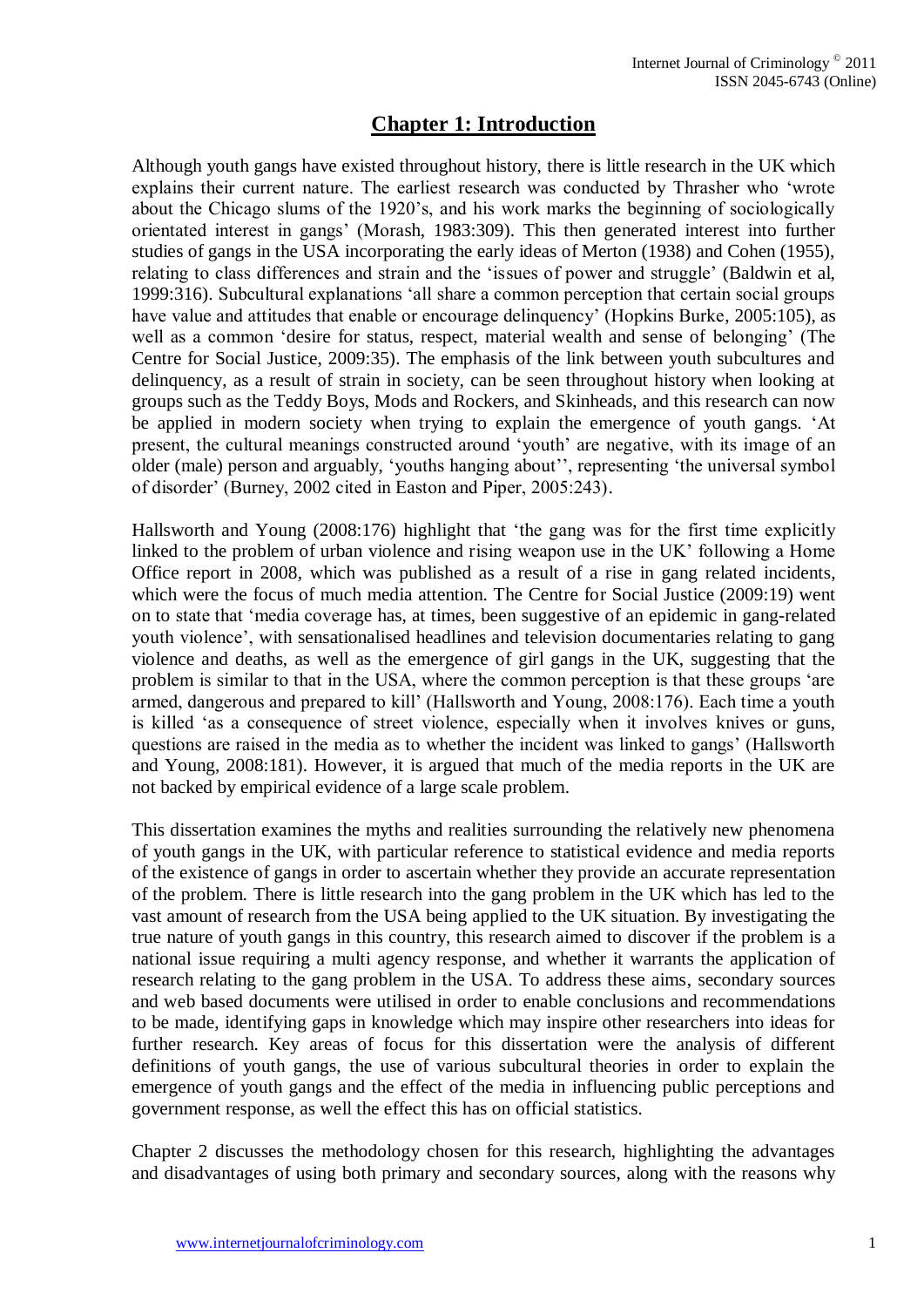# **Chapter 1: Introduction**

Although youth gangs have existed throughout history, there is little research in the UK which explains their current nature. The earliest research was conducted by Thrasher who 'wrote about the Chicago slums of the 1920's, and his work marks the beginning of sociologically orientated interest in gangs' (Morash, 1983:309). This then generated interest into further studies of gangs in the USA incorporating the early ideas of Merton (1938) and Cohen (1955), relating to class differences and strain and the 'issues of power and struggle' (Baldwin et al, 1999:316). Subcultural explanations 'all share a common perception that certain social groups have value and attitudes that enable or encourage delinquency' (Hopkins Burke, 2005:105), as well as a common 'desire for status, respect, material wealth and sense of belonging' (The Centre for Social Justice, 2009:35). The emphasis of the link between youth subcultures and delinquency, as a result of strain in society, can be seen throughout history when looking at groups such as the Teddy Boys, Mods and Rockers, and Skinheads, and this research can now be applied in modern society when trying to explain the emergence of youth gangs. 'At present, the cultural meanings constructed around 'youth' are negative, with its image of an older (male) person and arguably, 'youths hanging about'', representing 'the universal symbol of disorder' (Burney, 2002 cited in Easton and Piper, 2005:243).

Hallsworth and Young (2008:176) highlight that 'the gang was for the first time explicitly linked to the problem of urban violence and rising weapon use in the UK' following a Home Office report in 2008, which was published as a result of a rise in gang related incidents, which were the focus of much media attention. The Centre for Social Justice (2009:19) went on to state that 'media coverage has, at times, been suggestive of an epidemic in gang-related youth violence', with sensationalised headlines and television documentaries relating to gang violence and deaths, as well as the emergence of girl gangs in the UK, suggesting that the problem is similar to that in the USA, where the common perception is that these groups 'are armed, dangerous and prepared to kill' (Hallsworth and Young, 2008:176). Each time a youth is killed 'as a consequence of street violence, especially when it involves knives or guns, questions are raised in the media as to whether the incident was linked to gangs' (Hallsworth and Young, 2008:181). However, it is argued that much of the media reports in the UK are not backed by empirical evidence of a large scale problem.

This dissertation examines the myths and realities surrounding the relatively new phenomena of youth gangs in the UK, with particular reference to statistical evidence and media reports of the existence of gangs in order to ascertain whether they provide an accurate representation of the problem. There is little research into the gang problem in the UK which has led to the vast amount of research from the USA being applied to the UK situation. By investigating the true nature of youth gangs in this country, this research aimed to discover if the problem is a national issue requiring a multi agency response, and whether it warrants the application of research relating to the gang problem in the USA. To address these aims, secondary sources and web based documents were utilised in order to enable conclusions and recommendations to be made, identifying gaps in knowledge which may inspire other researchers into ideas for further research. Key areas of focus for this dissertation were the analysis of different definitions of youth gangs, the use of various subcultural theories in order to explain the emergence of youth gangs and the effect of the media in influencing public perceptions and government response, as well the effect this has on official statistics.

Chapter 2 discusses the methodology chosen for this research, highlighting the advantages and disadvantages of using both primary and secondary sources, along with the reasons why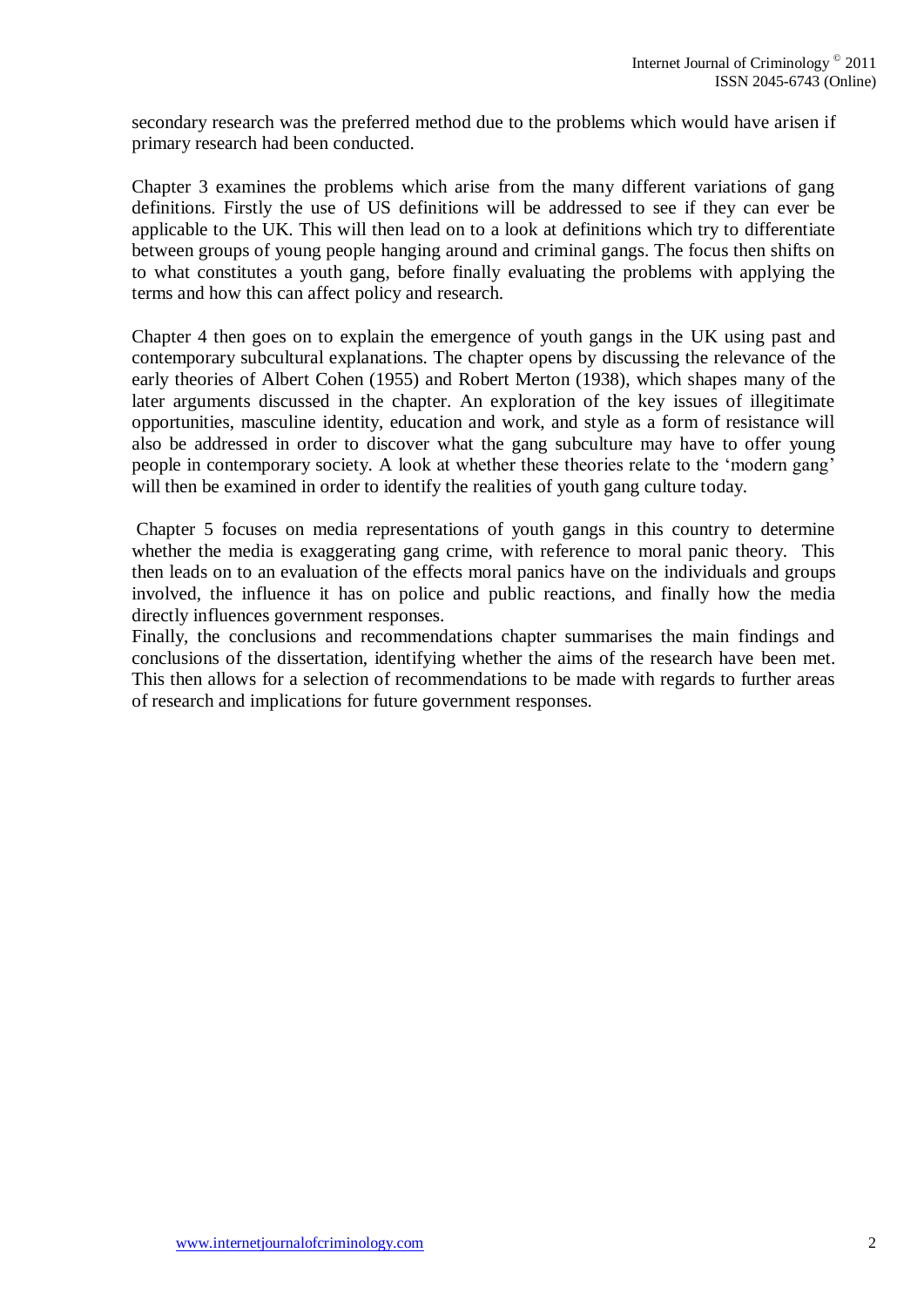secondary research was the preferred method due to the problems which would have arisen if primary research had been conducted.

Chapter 3 examines the problems which arise from the many different variations of gang definitions. Firstly the use of US definitions will be addressed to see if they can ever be applicable to the UK. This will then lead on to a look at definitions which try to differentiate between groups of young people hanging around and criminal gangs. The focus then shifts on to what constitutes a youth gang, before finally evaluating the problems with applying the terms and how this can affect policy and research.

Chapter 4 then goes on to explain the emergence of youth gangs in the UK using past and contemporary subcultural explanations. The chapter opens by discussing the relevance of the early theories of Albert Cohen (1955) and Robert Merton (1938), which shapes many of the later arguments discussed in the chapter. An exploration of the key issues of illegitimate opportunities, masculine identity, education and work, and style as a form of resistance will also be addressed in order to discover what the gang subculture may have to offer young people in contemporary society. A look at whether these theories relate to the 'modern gang' will then be examined in order to identify the realities of youth gang culture today.

Chapter 5 focuses on media representations of youth gangs in this country to determine whether the media is exaggerating gang crime, with reference to moral panic theory. This then leads on to an evaluation of the effects moral panics have on the individuals and groups involved, the influence it has on police and public reactions, and finally how the media directly influences government responses.

Finally, the conclusions and recommendations chapter summarises the main findings and conclusions of the dissertation, identifying whether the aims of the research have been met. This then allows for a selection of recommendations to be made with regards to further areas of research and implications for future government responses.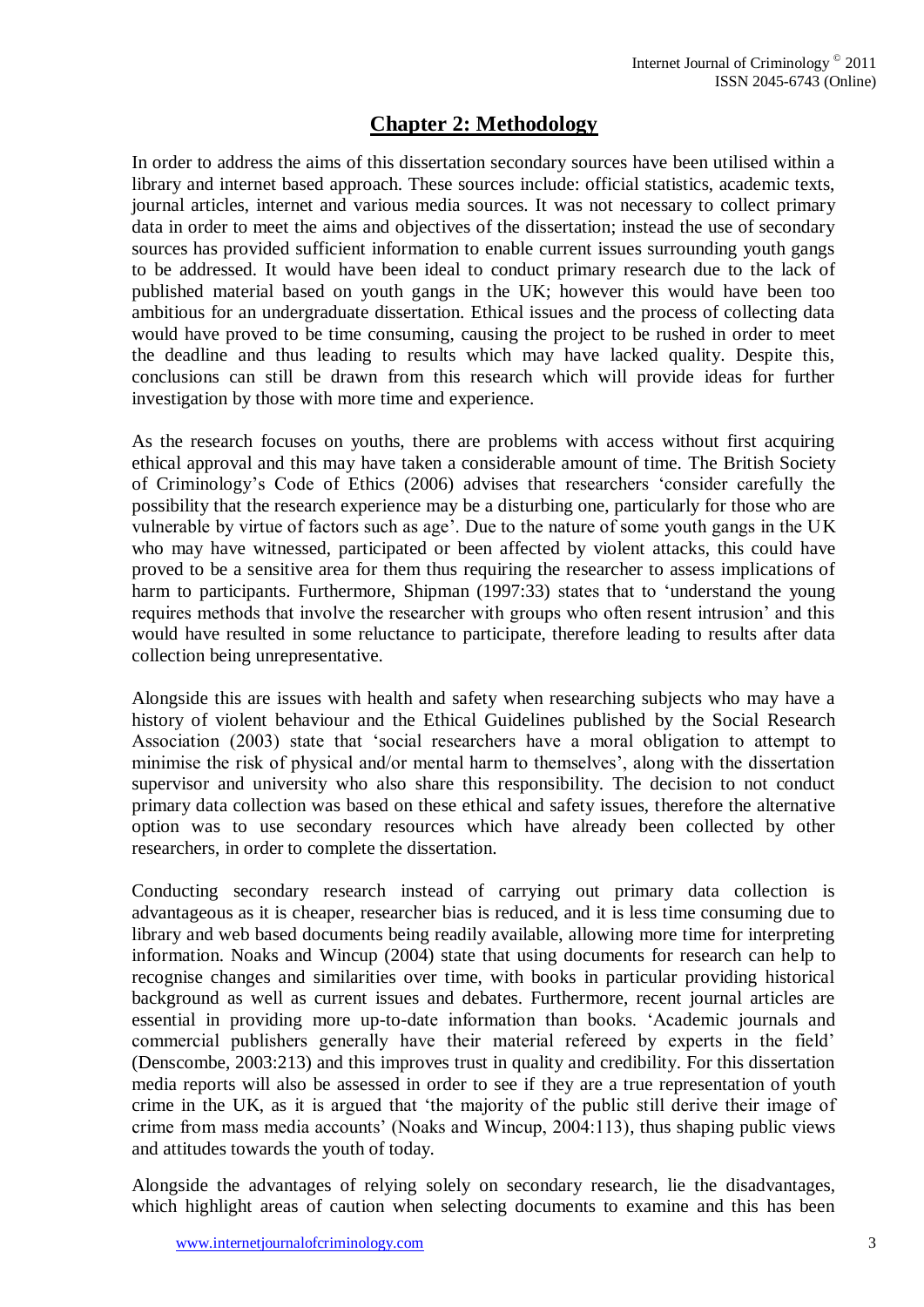# **Chapter 2: Methodology**

In order to address the aims of this dissertation secondary sources have been utilised within a library and internet based approach. These sources include: official statistics, academic texts, journal articles, internet and various media sources. It was not necessary to collect primary data in order to meet the aims and objectives of the dissertation; instead the use of secondary sources has provided sufficient information to enable current issues surrounding youth gangs to be addressed. It would have been ideal to conduct primary research due to the lack of published material based on youth gangs in the UK; however this would have been too ambitious for an undergraduate dissertation. Ethical issues and the process of collecting data would have proved to be time consuming, causing the project to be rushed in order to meet the deadline and thus leading to results which may have lacked quality. Despite this, conclusions can still be drawn from this research which will provide ideas for further investigation by those with more time and experience.

As the research focuses on youths, there are problems with access without first acquiring ethical approval and this may have taken a considerable amount of time. The British Society of Criminology's Code of Ethics (2006) advises that researchers 'consider carefully the possibility that the research experience may be a disturbing one, particularly for those who are vulnerable by virtue of factors such as age'. Due to the nature of some youth gangs in the UK who may have witnessed, participated or been affected by violent attacks, this could have proved to be a sensitive area for them thus requiring the researcher to assess implications of harm to participants. Furthermore, Shipman (1997:33) states that to 'understand the young requires methods that involve the researcher with groups who often resent intrusion' and this would have resulted in some reluctance to participate, therefore leading to results after data collection being unrepresentative.

Alongside this are issues with health and safety when researching subjects who may have a history of violent behaviour and the Ethical Guidelines published by the Social Research Association (2003) state that 'social researchers have a moral obligation to attempt to minimise the risk of physical and/or mental harm to themselves', along with the dissertation supervisor and university who also share this responsibility. The decision to not conduct primary data collection was based on these ethical and safety issues, therefore the alternative option was to use secondary resources which have already been collected by other researchers, in order to complete the dissertation.

Conducting secondary research instead of carrying out primary data collection is advantageous as it is cheaper, researcher bias is reduced, and it is less time consuming due to library and web based documents being readily available, allowing more time for interpreting information. Noaks and Wincup (2004) state that using documents for research can help to recognise changes and similarities over time, with books in particular providing historical background as well as current issues and debates. Furthermore, recent journal articles are essential in providing more up-to-date information than books. 'Academic journals and commercial publishers generally have their material refereed by experts in the field' (Denscombe, 2003:213) and this improves trust in quality and credibility. For this dissertation media reports will also be assessed in order to see if they are a true representation of youth crime in the UK, as it is argued that 'the majority of the public still derive their image of crime from mass media accounts' (Noaks and Wincup, 2004:113), thus shaping public views and attitudes towards the youth of today.

Alongside the advantages of relying solely on secondary research, lie the disadvantages, which highlight areas of caution when selecting documents to examine and this has been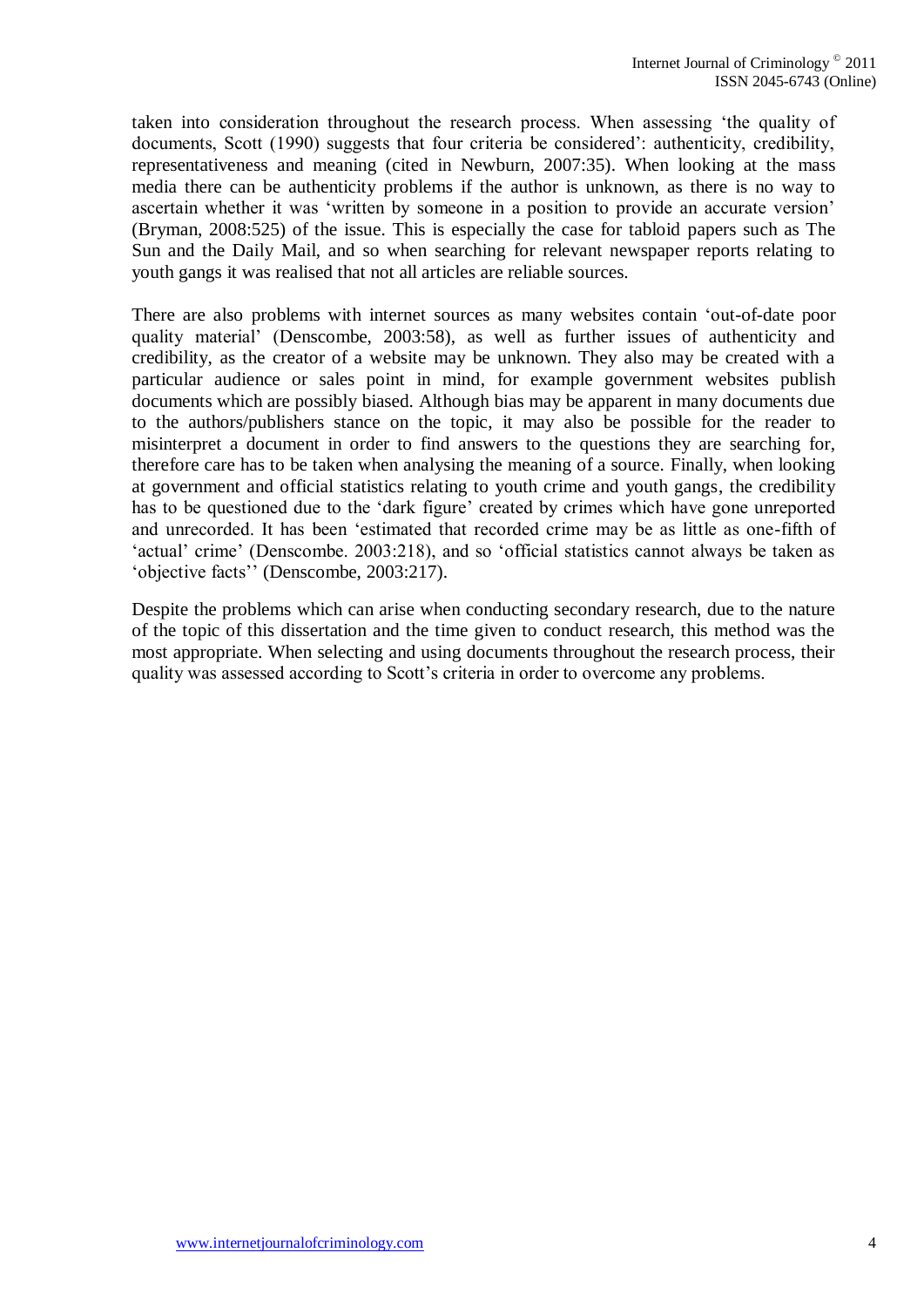taken into consideration throughout the research process. When assessing 'the quality of documents, Scott (1990) suggests that four criteria be considered': authenticity, credibility, representativeness and meaning (cited in Newburn, 2007:35). When looking at the mass media there can be authenticity problems if the author is unknown, as there is no way to ascertain whether it was 'written by someone in a position to provide an accurate version' (Bryman, 2008:525) of the issue. This is especially the case for tabloid papers such as The Sun and the Daily Mail, and so when searching for relevant newspaper reports relating to youth gangs it was realised that not all articles are reliable sources.

There are also problems with internet sources as many websites contain 'out-of-date poor quality material' (Denscombe, 2003:58), as well as further issues of authenticity and credibility, as the creator of a website may be unknown. They also may be created with a particular audience or sales point in mind, for example government websites publish documents which are possibly biased. Although bias may be apparent in many documents due to the authors/publishers stance on the topic, it may also be possible for the reader to misinterpret a document in order to find answers to the questions they are searching for, therefore care has to be taken when analysing the meaning of a source. Finally, when looking at government and official statistics relating to youth crime and youth gangs, the credibility has to be questioned due to the 'dark figure' created by crimes which have gone unreported and unrecorded. It has been 'estimated that recorded crime may be as little as one-fifth of 'actual' crime' (Denscombe. 2003:218), and so 'official statistics cannot always be taken as 'objective facts'' (Denscombe, 2003:217).

Despite the problems which can arise when conducting secondary research, due to the nature of the topic of this dissertation and the time given to conduct research, this method was the most appropriate. When selecting and using documents throughout the research process, their quality was assessed according to Scott's criteria in order to overcome any problems.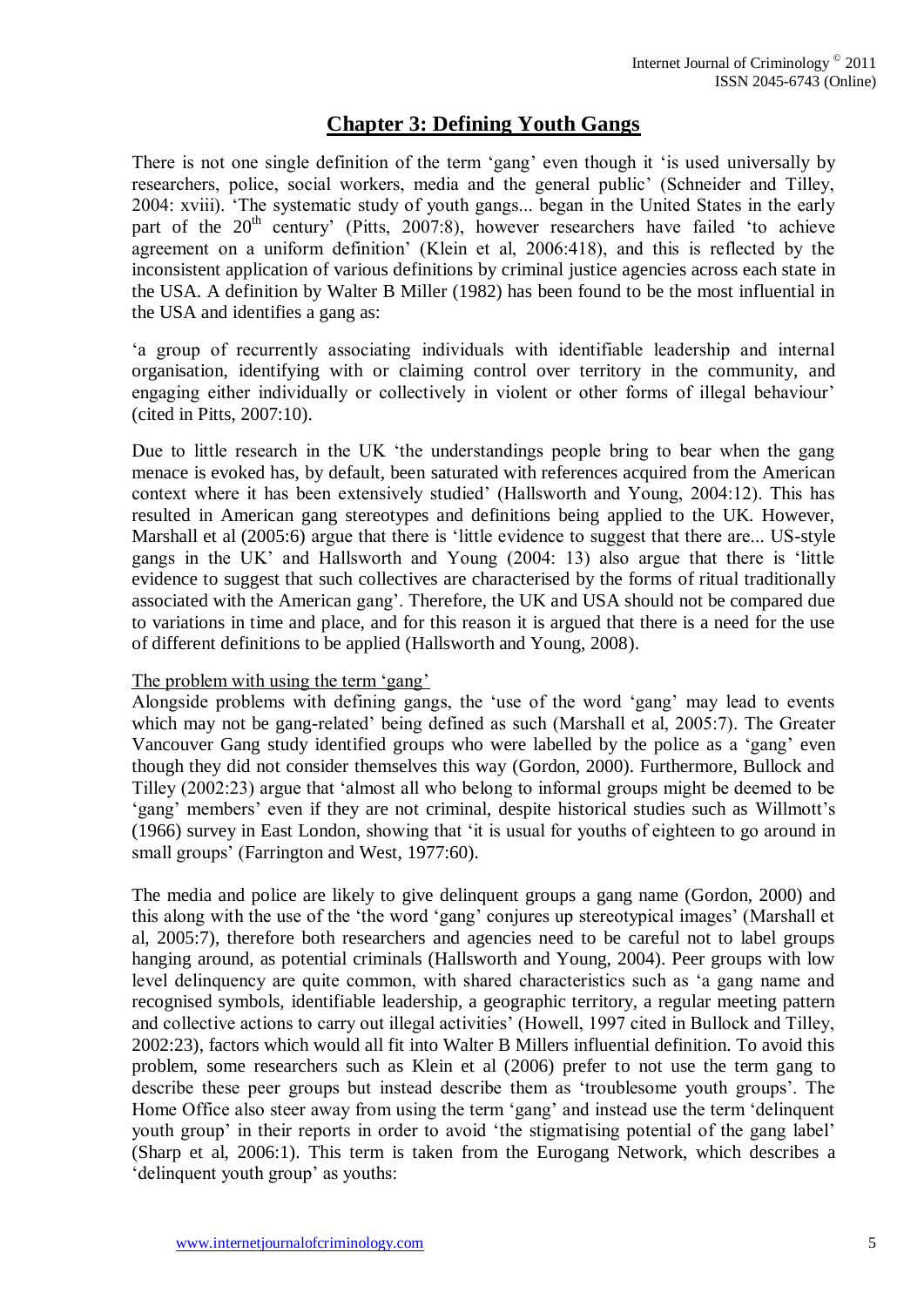# **Chapter 3: Defining Youth Gangs**

There is not one single definition of the term 'gang' even though it 'is used universally by researchers, police, social workers, media and the general public' (Schneider and Tilley, 2004: xviii). 'The systematic study of youth gangs... began in the United States in the early part of the  $20<sup>th</sup>$  century' (Pitts, 2007:8), however researchers have failed 'to achieve agreement on a uniform definition' (Klein et al, 2006:418), and this is reflected by the inconsistent application of various definitions by criminal justice agencies across each state in the USA. A definition by Walter B Miller (1982) has been found to be the most influential in the USA and identifies a gang as:

'a group of recurrently associating individuals with identifiable leadership and internal organisation, identifying with or claiming control over territory in the community, and engaging either individually or collectively in violent or other forms of illegal behaviour' (cited in Pitts, 2007:10).

Due to little research in the UK 'the understandings people bring to bear when the gang menace is evoked has, by default, been saturated with references acquired from the American context where it has been extensively studied' (Hallsworth and Young, 2004:12). This has resulted in American gang stereotypes and definitions being applied to the UK. However, Marshall et al (2005:6) argue that there is 'little evidence to suggest that there are... US-style gangs in the UK' and Hallsworth and Young (2004: 13) also argue that there is 'little evidence to suggest that such collectives are characterised by the forms of ritual traditionally associated with the American gang'. Therefore, the UK and USA should not be compared due to variations in time and place, and for this reason it is argued that there is a need for the use of different definitions to be applied (Hallsworth and Young, 2008).

## The problem with using the term 'gang'

Alongside problems with defining gangs, the 'use of the word 'gang' may lead to events which may not be gang-related' being defined as such (Marshall et al, 2005:7). The Greater Vancouver Gang study identified groups who were labelled by the police as a 'gang' even though they did not consider themselves this way (Gordon, 2000). Furthermore, Bullock and Tilley (2002:23) argue that 'almost all who belong to informal groups might be deemed to be 'gang' members' even if they are not criminal, despite historical studies such as Willmott's (1966) survey in East London, showing that 'it is usual for youths of eighteen to go around in small groups' (Farrington and West, 1977:60).

The media and police are likely to give delinquent groups a gang name (Gordon, 2000) and this along with the use of the 'the word 'gang' conjures up stereotypical images' (Marshall et al, 2005:7), therefore both researchers and agencies need to be careful not to label groups hanging around, as potential criminals (Hallsworth and Young, 2004). Peer groups with low level delinquency are quite common, with shared characteristics such as 'a gang name and recognised symbols, identifiable leadership, a geographic territory, a regular meeting pattern and collective actions to carry out illegal activities' (Howell, 1997 cited in Bullock and Tilley, 2002:23), factors which would all fit into Walter B Millers influential definition. To avoid this problem, some researchers such as Klein et al (2006) prefer to not use the term gang to describe these peer groups but instead describe them as 'troublesome youth groups'. The Home Office also steer away from using the term 'gang' and instead use the term 'delinquent youth group' in their reports in order to avoid 'the stigmatising potential of the gang label' (Sharp et al, 2006:1). This term is taken from the Eurogang Network, which describes a 'delinquent youth group' as youths: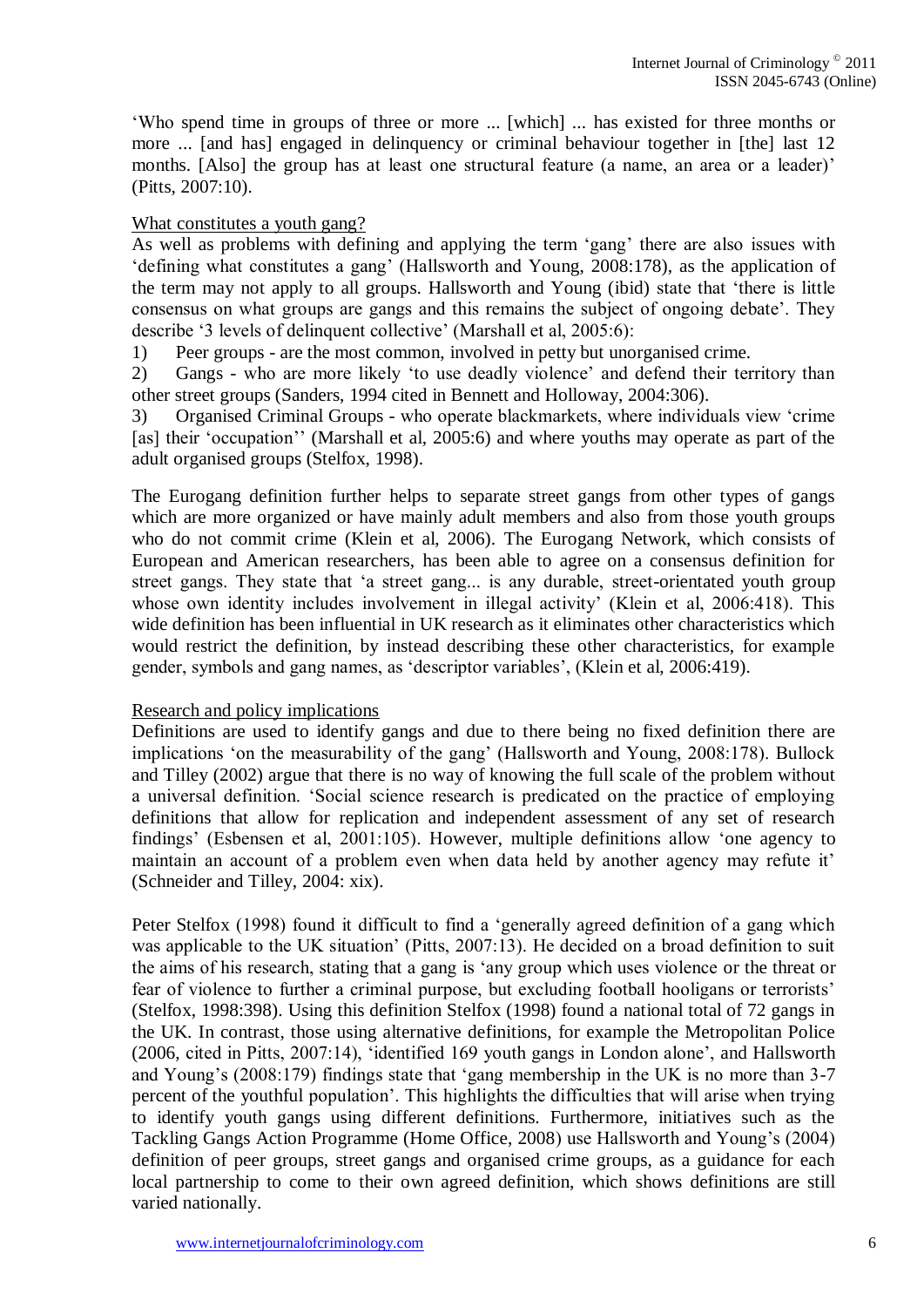'Who spend time in groups of three or more ... [which] ... has existed for three months or more ... [and has] engaged in delinquency or criminal behaviour together in [the] last 12 months. [Also] the group has at least one structural feature (a name, an area or a leader)' (Pitts, 2007:10).

## What constitutes a youth gang?

As well as problems with defining and applying the term 'gang' there are also issues with 'defining what constitutes a gang' (Hallsworth and Young, 2008:178), as the application of the term may not apply to all groups. Hallsworth and Young (ibid) state that 'there is little consensus on what groups are gangs and this remains the subject of ongoing debate'. They describe '3 levels of delinquent collective' (Marshall et al, 2005:6):

1) Peer groups - are the most common, involved in petty but unorganised crime.

2) Gangs - who are more likely 'to use deadly violence' and defend their territory than other street groups (Sanders, 1994 cited in Bennett and Holloway, 2004:306).

3) Organised Criminal Groups - who operate blackmarkets, where individuals view 'crime [as] their 'occupation'' (Marshall et al, 2005:6) and where youths may operate as part of the adult organised groups (Stelfox, 1998).

The Eurogang definition further helps to separate street gangs from other types of gangs which are more organized or have mainly adult members and also from those youth groups who do not commit crime (Klein et al, 2006). The Eurogang Network, which consists of European and American researchers, has been able to agree on a consensus definition for street gangs. They state that 'a street gang... is any durable, street-orientated youth group whose own identity includes involvement in illegal activity' (Klein et al, 2006:418). This wide definition has been influential in UK research as it eliminates other characteristics which would restrict the definition, by instead describing these other characteristics, for example gender, symbols and gang names, as 'descriptor variables', (Klein et al, 2006:419).

## Research and policy implications

Definitions are used to identify gangs and due to there being no fixed definition there are implications 'on the measurability of the gang' (Hallsworth and Young, 2008:178). Bullock and Tilley (2002) argue that there is no way of knowing the full scale of the problem without a universal definition. 'Social science research is predicated on the practice of employing definitions that allow for replication and independent assessment of any set of research findings' (Esbensen et al, 2001:105). However, multiple definitions allow 'one agency to maintain an account of a problem even when data held by another agency may refute it' (Schneider and Tilley, 2004: xix).

Peter Stelfox (1998) found it difficult to find a 'generally agreed definition of a gang which was applicable to the UK situation' (Pitts, 2007:13). He decided on a broad definition to suit the aims of his research, stating that a gang is 'any group which uses violence or the threat or fear of violence to further a criminal purpose, but excluding football hooligans or terrorists' (Stelfox, 1998:398). Using this definition Stelfox (1998) found a national total of 72 gangs in the UK. In contrast, those using alternative definitions, for example the Metropolitan Police (2006, cited in Pitts, 2007:14), 'identified 169 youth gangs in London alone', and Hallsworth and Young's (2008:179) findings state that 'gang membership in the UK is no more than 3-7 percent of the youthful population'. This highlights the difficulties that will arise when trying to identify youth gangs using different definitions. Furthermore, initiatives such as the Tackling Gangs Action Programme (Home Office, 2008) use Hallsworth and Young's (2004) definition of peer groups, street gangs and organised crime groups, as a guidance for each local partnership to come to their own agreed definition, which shows definitions are still varied nationally.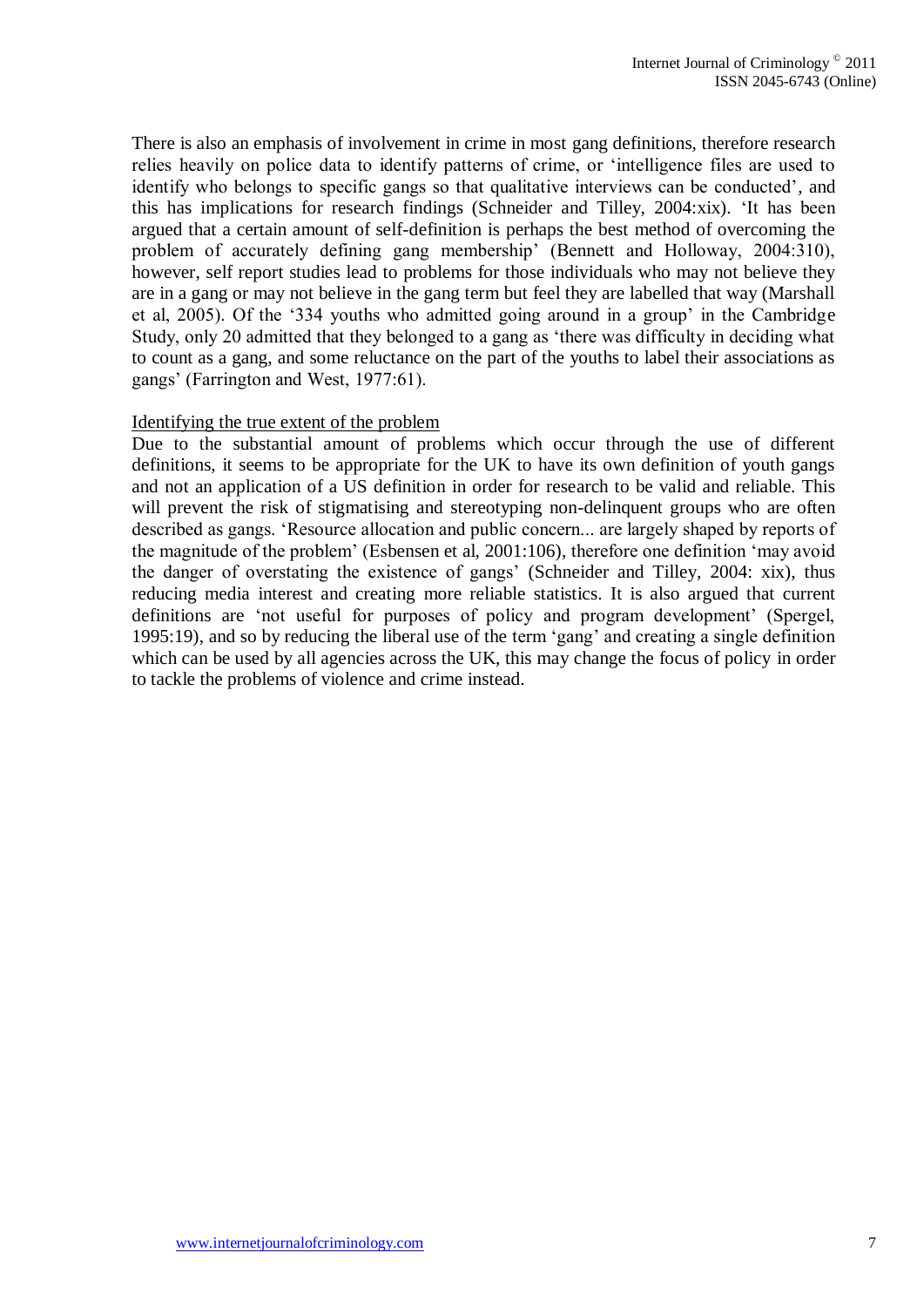There is also an emphasis of involvement in crime in most gang definitions, therefore research relies heavily on police data to identify patterns of crime, or 'intelligence files are used to identify who belongs to specific gangs so that qualitative interviews can be conducted', and this has implications for research findings (Schneider and Tilley, 2004:xix). 'It has been argued that a certain amount of self-definition is perhaps the best method of overcoming the problem of accurately defining gang membership' (Bennett and Holloway, 2004:310), however, self report studies lead to problems for those individuals who may not believe they are in a gang or may not believe in the gang term but feel they are labelled that way (Marshall et al, 2005). Of the '334 youths who admitted going around in a group' in the Cambridge Study, only 20 admitted that they belonged to a gang as 'there was difficulty in deciding what to count as a gang, and some reluctance on the part of the youths to label their associations as gangs' (Farrington and West, 1977:61).

#### Identifying the true extent of the problem

Due to the substantial amount of problems which occur through the use of different definitions, it seems to be appropriate for the UK to have its own definition of youth gangs and not an application of a US definition in order for research to be valid and reliable. This will prevent the risk of stigmatising and stereotyping non-delinquent groups who are often described as gangs. 'Resource allocation and public concern... are largely shaped by reports of the magnitude of the problem' (Esbensen et al, 2001:106), therefore one definition 'may avoid the danger of overstating the existence of gangs' (Schneider and Tilley, 2004: xix), thus reducing media interest and creating more reliable statistics. It is also argued that current definitions are 'not useful for purposes of policy and program development' (Spergel, 1995:19), and so by reducing the liberal use of the term 'gang' and creating a single definition which can be used by all agencies across the UK, this may change the focus of policy in order to tackle the problems of violence and crime instead.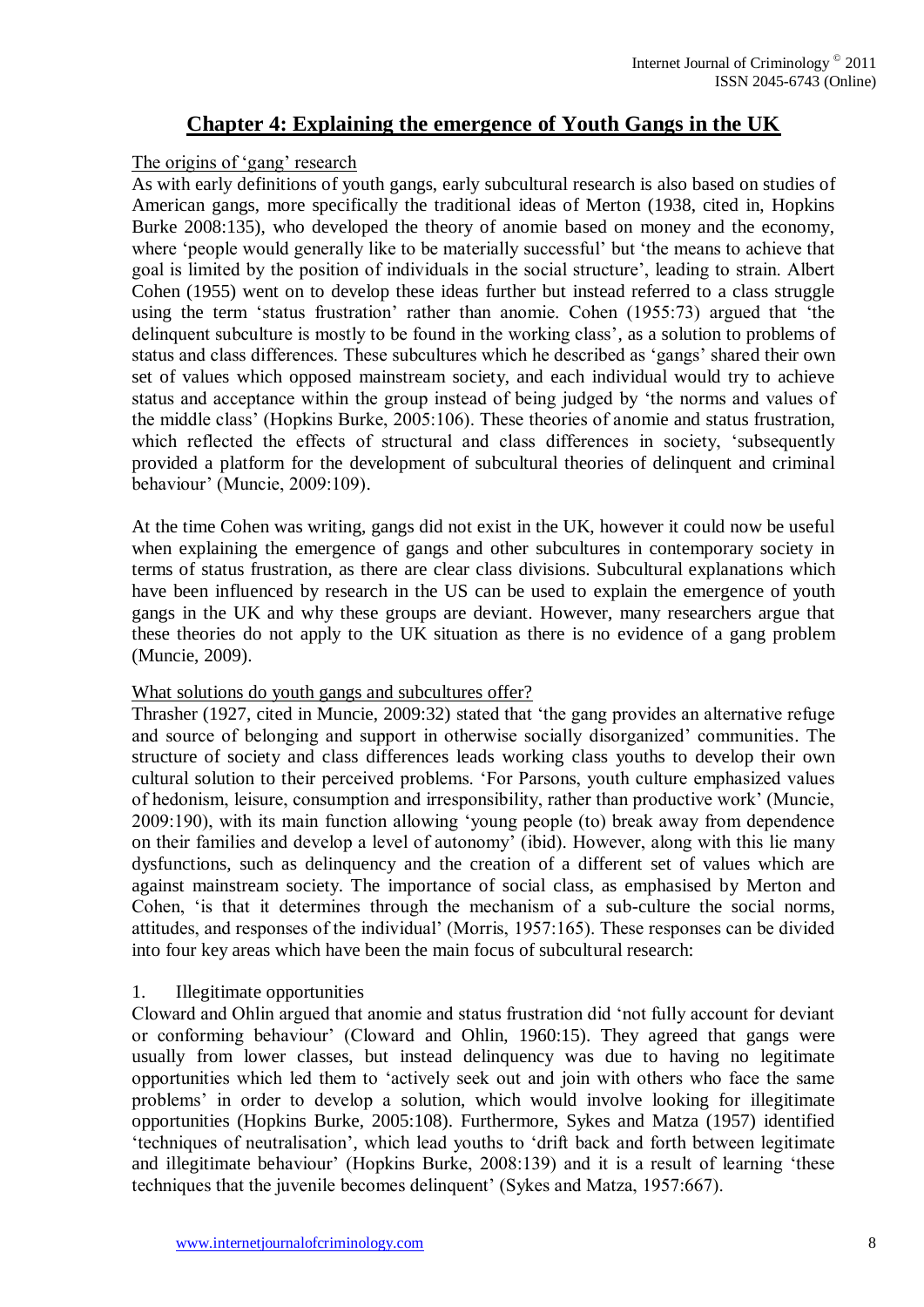# **Chapter 4: Explaining the emergence of Youth Gangs in the UK**

## The origins of 'gang' research

As with early definitions of youth gangs, early subcultural research is also based on studies of American gangs, more specifically the traditional ideas of Merton (1938, cited in, Hopkins Burke 2008:135), who developed the theory of anomie based on money and the economy, where 'people would generally like to be materially successful' but 'the means to achieve that goal is limited by the position of individuals in the social structure', leading to strain. Albert Cohen (1955) went on to develop these ideas further but instead referred to a class struggle using the term 'status frustration' rather than anomie. Cohen (1955:73) argued that 'the delinquent subculture is mostly to be found in the working class', as a solution to problems of status and class differences. These subcultures which he described as 'gangs' shared their own set of values which opposed mainstream society, and each individual would try to achieve status and acceptance within the group instead of being judged by 'the norms and values of the middle class' (Hopkins Burke, 2005:106). These theories of anomie and status frustration, which reflected the effects of structural and class differences in society, 'subsequently provided a platform for the development of subcultural theories of delinquent and criminal behaviour' (Muncie, 2009:109).

At the time Cohen was writing, gangs did not exist in the UK, however it could now be useful when explaining the emergence of gangs and other subcultures in contemporary society in terms of status frustration, as there are clear class divisions. Subcultural explanations which have been influenced by research in the US can be used to explain the emergence of youth gangs in the UK and why these groups are deviant. However, many researchers argue that these theories do not apply to the UK situation as there is no evidence of a gang problem (Muncie, 2009).

#### What solutions do youth gangs and subcultures offer?

Thrasher (1927, cited in Muncie, 2009:32) stated that 'the gang provides an alternative refuge and source of belonging and support in otherwise socially disorganized' communities. The structure of society and class differences leads working class youths to develop their own cultural solution to their perceived problems. 'For Parsons, youth culture emphasized values of hedonism, leisure, consumption and irresponsibility, rather than productive work' (Muncie, 2009:190), with its main function allowing 'young people (to) break away from dependence on their families and develop a level of autonomy' (ibid). However, along with this lie many dysfunctions, such as delinquency and the creation of a different set of values which are against mainstream society. The importance of social class, as emphasised by Merton and Cohen, 'is that it determines through the mechanism of a sub-culture the social norms, attitudes, and responses of the individual' (Morris, 1957:165). These responses can be divided into four key areas which have been the main focus of subcultural research:

## 1. Illegitimate opportunities

Cloward and Ohlin argued that anomie and status frustration did 'not fully account for deviant or conforming behaviour' (Cloward and Ohlin, 1960:15). They agreed that gangs were usually from lower classes, but instead delinquency was due to having no legitimate opportunities which led them to 'actively seek out and join with others who face the same problems' in order to develop a solution, which would involve looking for illegitimate opportunities (Hopkins Burke, 2005:108). Furthermore, Sykes and Matza (1957) identified 'techniques of neutralisation', which lead youths to 'drift back and forth between legitimate and illegitimate behaviour' (Hopkins Burke, 2008:139) and it is a result of learning 'these techniques that the juvenile becomes delinquent' (Sykes and Matza, 1957:667).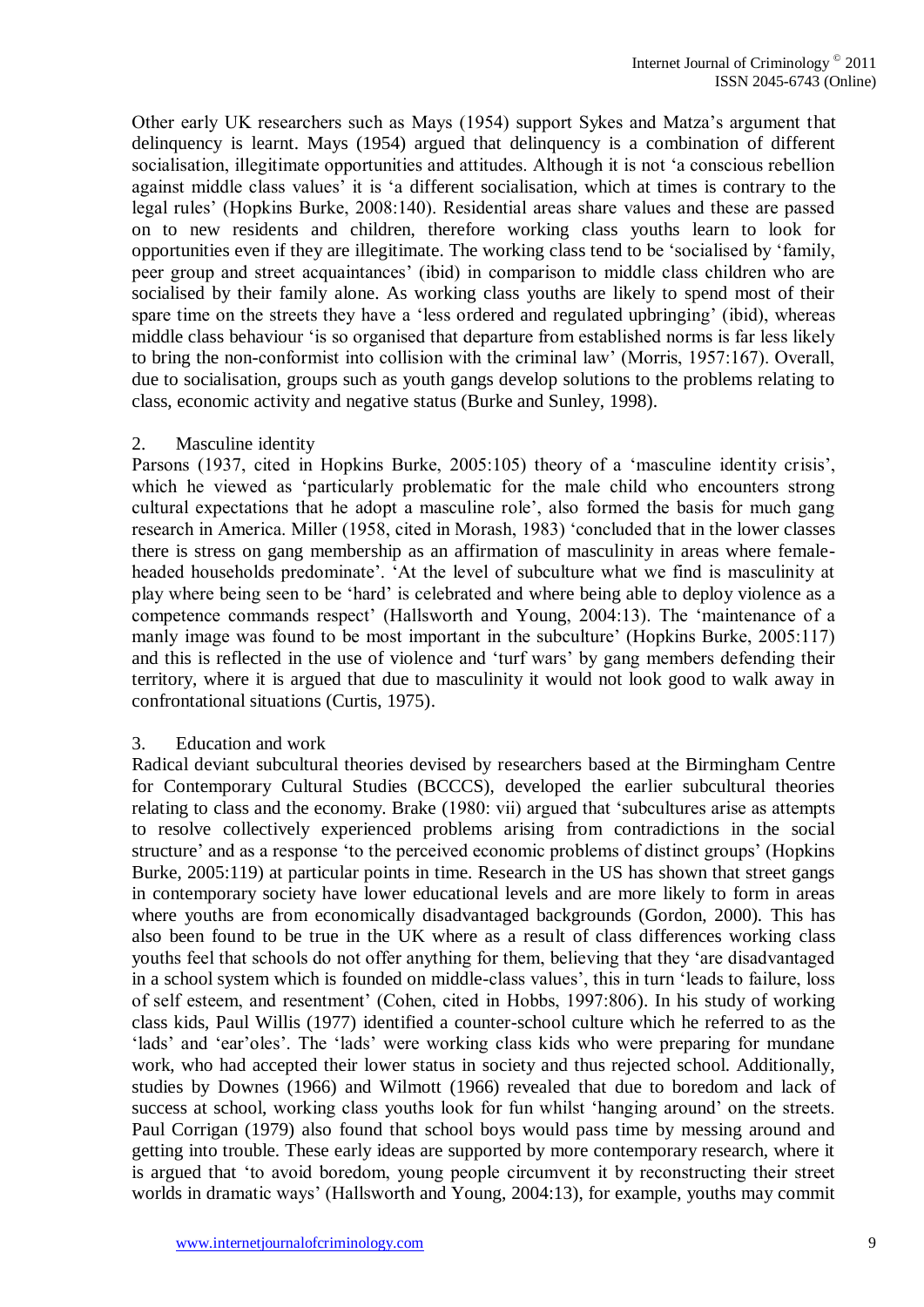Other early UK researchers such as Mays (1954) support Sykes and Matza's argument that delinquency is learnt. Mays (1954) argued that delinquency is a combination of different socialisation, illegitimate opportunities and attitudes. Although it is not 'a conscious rebellion against middle class values' it is 'a different socialisation, which at times is contrary to the legal rules' (Hopkins Burke, 2008:140). Residential areas share values and these are passed on to new residents and children, therefore working class youths learn to look for opportunities even if they are illegitimate. The working class tend to be 'socialised by 'family, peer group and street acquaintances' (ibid) in comparison to middle class children who are socialised by their family alone. As working class youths are likely to spend most of their spare time on the streets they have a 'less ordered and regulated upbringing' (ibid), whereas middle class behaviour 'is so organised that departure from established norms is far less likely to bring the non-conformist into collision with the criminal law' (Morris, 1957:167). Overall, due to socialisation, groups such as youth gangs develop solutions to the problems relating to class, economic activity and negative status (Burke and Sunley, 1998).

#### 2. Masculine identity

Parsons (1937, cited in Hopkins Burke, 2005:105) theory of a 'masculine identity crisis', which he viewed as 'particularly problematic for the male child who encounters strong cultural expectations that he adopt a masculine role', also formed the basis for much gang research in America. Miller (1958, cited in Morash, 1983) 'concluded that in the lower classes there is stress on gang membership as an affirmation of masculinity in areas where femaleheaded households predominate'. 'At the level of subculture what we find is masculinity at play where being seen to be 'hard' is celebrated and where being able to deploy violence as a competence commands respect' (Hallsworth and Young, 2004:13). The 'maintenance of a manly image was found to be most important in the subculture' (Hopkins Burke, 2005:117) and this is reflected in the use of violence and 'turf wars' by gang members defending their territory, where it is argued that due to masculinity it would not look good to walk away in confrontational situations (Curtis, 1975).

#### 3. Education and work

Radical deviant subcultural theories devised by researchers based at the Birmingham Centre for Contemporary Cultural Studies (BCCCS), developed the earlier subcultural theories relating to class and the economy. Brake (1980: vii) argued that 'subcultures arise as attempts to resolve collectively experienced problems arising from contradictions in the social structure' and as a response 'to the perceived economic problems of distinct groups' (Hopkins Burke, 2005:119) at particular points in time. Research in the US has shown that street gangs in contemporary society have lower educational levels and are more likely to form in areas where youths are from economically disadvantaged backgrounds (Gordon, 2000). This has also been found to be true in the UK where as a result of class differences working class youths feel that schools do not offer anything for them, believing that they 'are disadvantaged in a school system which is founded on middle-class values', this in turn 'leads to failure, loss of self esteem, and resentment' (Cohen, cited in Hobbs, 1997:806). In his study of working class kids, Paul Willis (1977) identified a counter-school culture which he referred to as the 'lads' and 'ear'oles'. The 'lads' were working class kids who were preparing for mundane work, who had accepted their lower status in society and thus rejected school. Additionally, studies by Downes (1966) and Wilmott (1966) revealed that due to boredom and lack of success at school, working class youths look for fun whilst 'hanging around' on the streets. Paul Corrigan (1979) also found that school boys would pass time by messing around and getting into trouble. These early ideas are supported by more contemporary research, where it is argued that 'to avoid boredom, young people circumvent it by reconstructing their street worlds in dramatic ways' (Hallsworth and Young, 2004:13), for example, youths may commit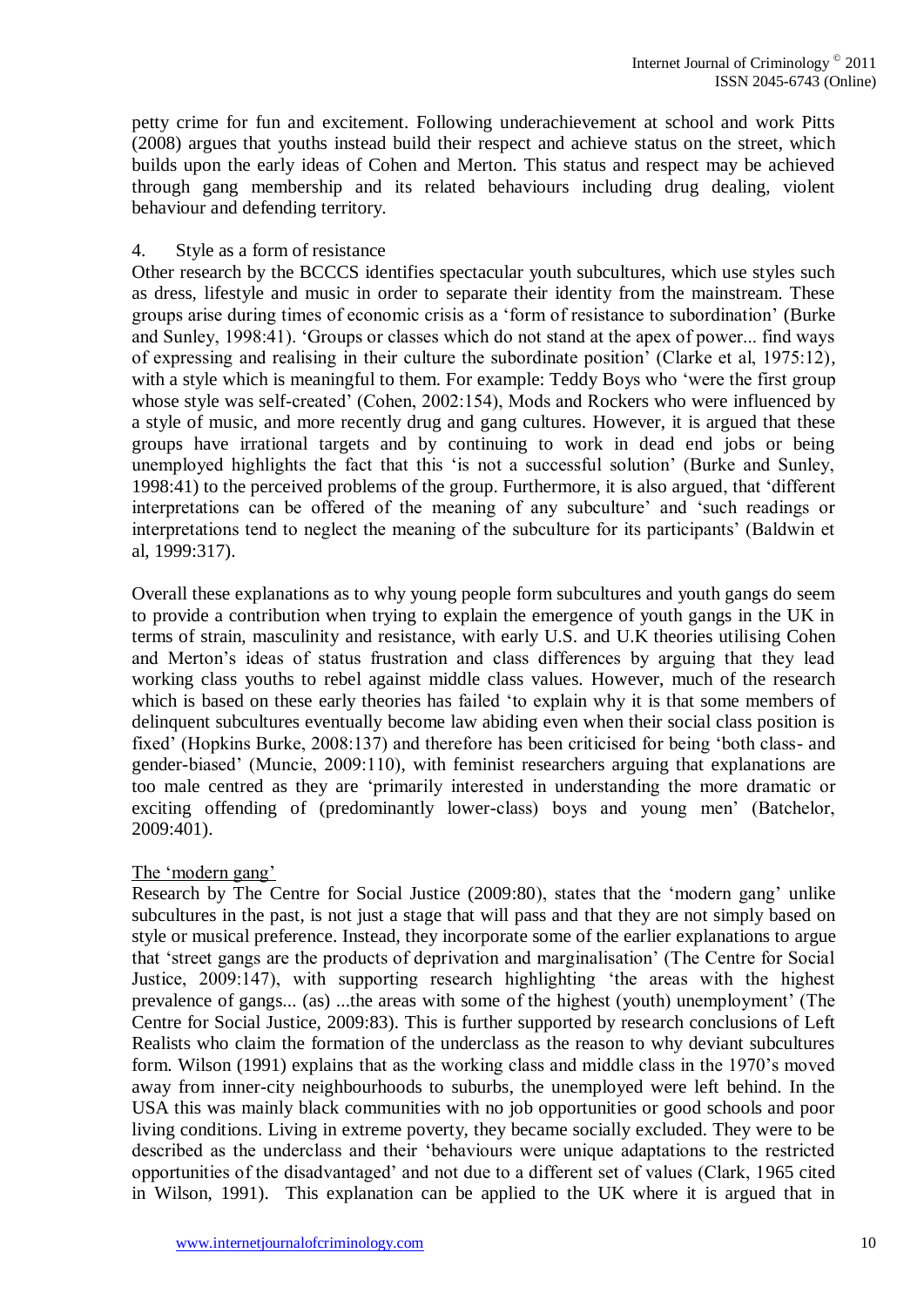petty crime for fun and excitement. Following underachievement at school and work Pitts (2008) argues that youths instead build their respect and achieve status on the street, which builds upon the early ideas of Cohen and Merton. This status and respect may be achieved through gang membership and its related behaviours including drug dealing, violent behaviour and defending territory.

## 4. Style as a form of resistance

Other research by the BCCCS identifies spectacular youth subcultures, which use styles such as dress, lifestyle and music in order to separate their identity from the mainstream. These groups arise during times of economic crisis as a 'form of resistance to subordination' (Burke and Sunley, 1998:41). 'Groups or classes which do not stand at the apex of power... find ways of expressing and realising in their culture the subordinate position' (Clarke et al, 1975:12), with a style which is meaningful to them. For example: Teddy Boys who 'were the first group whose style was self-created' (Cohen, 2002:154), Mods and Rockers who were influenced by a style of music, and more recently drug and gang cultures. However, it is argued that these groups have irrational targets and by continuing to work in dead end jobs or being unemployed highlights the fact that this 'is not a successful solution' (Burke and Sunley, 1998:41) to the perceived problems of the group. Furthermore, it is also argued, that 'different interpretations can be offered of the meaning of any subculture' and 'such readings or interpretations tend to neglect the meaning of the subculture for its participants' (Baldwin et al, 1999:317).

Overall these explanations as to why young people form subcultures and youth gangs do seem to provide a contribution when trying to explain the emergence of youth gangs in the UK in terms of strain, masculinity and resistance, with early U.S. and U.K theories utilising Cohen and Merton's ideas of status frustration and class differences by arguing that they lead working class youths to rebel against middle class values. However, much of the research which is based on these early theories has failed 'to explain why it is that some members of delinquent subcultures eventually become law abiding even when their social class position is fixed' (Hopkins Burke, 2008:137) and therefore has been criticised for being 'both class- and gender-biased' (Muncie, 2009:110), with feminist researchers arguing that explanations are too male centred as they are 'primarily interested in understanding the more dramatic or exciting offending of (predominantly lower-class) boys and young men' (Batchelor, 2009:401).

## The 'modern gang'

Research by The Centre for Social Justice (2009:80), states that the 'modern gang' unlike subcultures in the past, is not just a stage that will pass and that they are not simply based on style or musical preference. Instead, they incorporate some of the earlier explanations to argue that 'street gangs are the products of deprivation and marginalisation' (The Centre for Social Justice, 2009:147), with supporting research highlighting 'the areas with the highest prevalence of gangs... (as) ...the areas with some of the highest (youth) unemployment' (The Centre for Social Justice, 2009:83). This is further supported by research conclusions of Left Realists who claim the formation of the underclass as the reason to why deviant subcultures form. Wilson (1991) explains that as the working class and middle class in the 1970's moved away from inner-city neighbourhoods to suburbs, the unemployed were left behind. In the USA this was mainly black communities with no job opportunities or good schools and poor living conditions. Living in extreme poverty, they became socially excluded. They were to be described as the underclass and their 'behaviours were unique adaptations to the restricted opportunities of the disadvantaged' and not due to a different set of values (Clark, 1965 cited in Wilson, 1991). This explanation can be applied to the UK where it is argued that in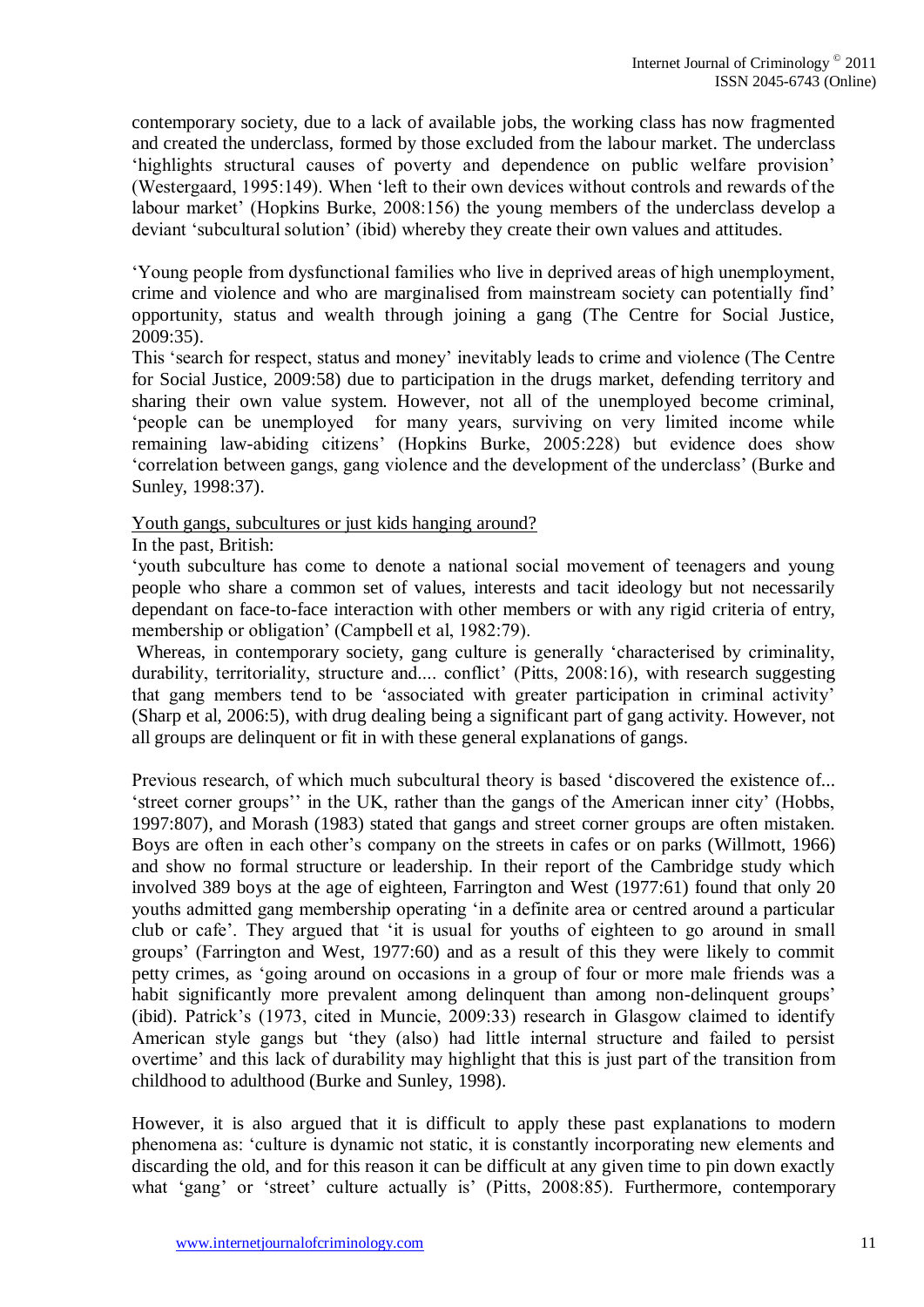contemporary society, due to a lack of available jobs, the working class has now fragmented and created the underclass, formed by those excluded from the labour market. The underclass 'highlights structural causes of poverty and dependence on public welfare provision' (Westergaard, 1995:149). When 'left to their own devices without controls and rewards of the labour market' (Hopkins Burke, 2008:156) the young members of the underclass develop a deviant 'subcultural solution' (ibid) whereby they create their own values and attitudes.

'Young people from dysfunctional families who live in deprived areas of high unemployment, crime and violence and who are marginalised from mainstream society can potentially find' opportunity, status and wealth through joining a gang (The Centre for Social Justice, 2009:35).

This 'search for respect, status and money' inevitably leads to crime and violence (The Centre for Social Justice, 2009:58) due to participation in the drugs market, defending territory and sharing their own value system. However, not all of the unemployed become criminal, 'people can be unemployed for many years, surviving on very limited income while remaining law-abiding citizens' (Hopkins Burke, 2005:228) but evidence does show 'correlation between gangs, gang violence and the development of the underclass' (Burke and Sunley, 1998:37).

## Youth gangs, subcultures or just kids hanging around?

In the past, British:

'youth subculture has come to denote a national social movement of teenagers and young people who share a common set of values, interests and tacit ideology but not necessarily dependant on face-to-face interaction with other members or with any rigid criteria of entry, membership or obligation' (Campbell et al, 1982:79).

Whereas, in contemporary society, gang culture is generally 'characterised by criminality, durability, territoriality, structure and.... conflict' (Pitts, 2008:16), with research suggesting that gang members tend to be 'associated with greater participation in criminal activity' (Sharp et al, 2006:5), with drug dealing being a significant part of gang activity. However, not all groups are delinquent or fit in with these general explanations of gangs.

Previous research, of which much subcultural theory is based 'discovered the existence of... 'street corner groups'' in the UK, rather than the gangs of the American inner city' (Hobbs, 1997:807), and Morash (1983) stated that gangs and street corner groups are often mistaken. Boys are often in each other's company on the streets in cafes or on parks (Willmott, 1966) and show no formal structure or leadership. In their report of the Cambridge study which involved 389 boys at the age of eighteen, Farrington and West (1977:61) found that only 20 youths admitted gang membership operating 'in a definite area or centred around a particular club or cafe'. They argued that 'it is usual for youths of eighteen to go around in small groups' (Farrington and West, 1977:60) and as a result of this they were likely to commit petty crimes, as 'going around on occasions in a group of four or more male friends was a habit significantly more prevalent among delinquent than among non-delinquent groups' (ibid). Patrick's (1973, cited in Muncie, 2009:33) research in Glasgow claimed to identify American style gangs but 'they (also) had little internal structure and failed to persist overtime' and this lack of durability may highlight that this is just part of the transition from childhood to adulthood (Burke and Sunley, 1998).

However, it is also argued that it is difficult to apply these past explanations to modern phenomena as: 'culture is dynamic not static, it is constantly incorporating new elements and discarding the old, and for this reason it can be difficult at any given time to pin down exactly what 'gang' or 'street' culture actually is' (Pitts, 2008:85). Furthermore, contemporary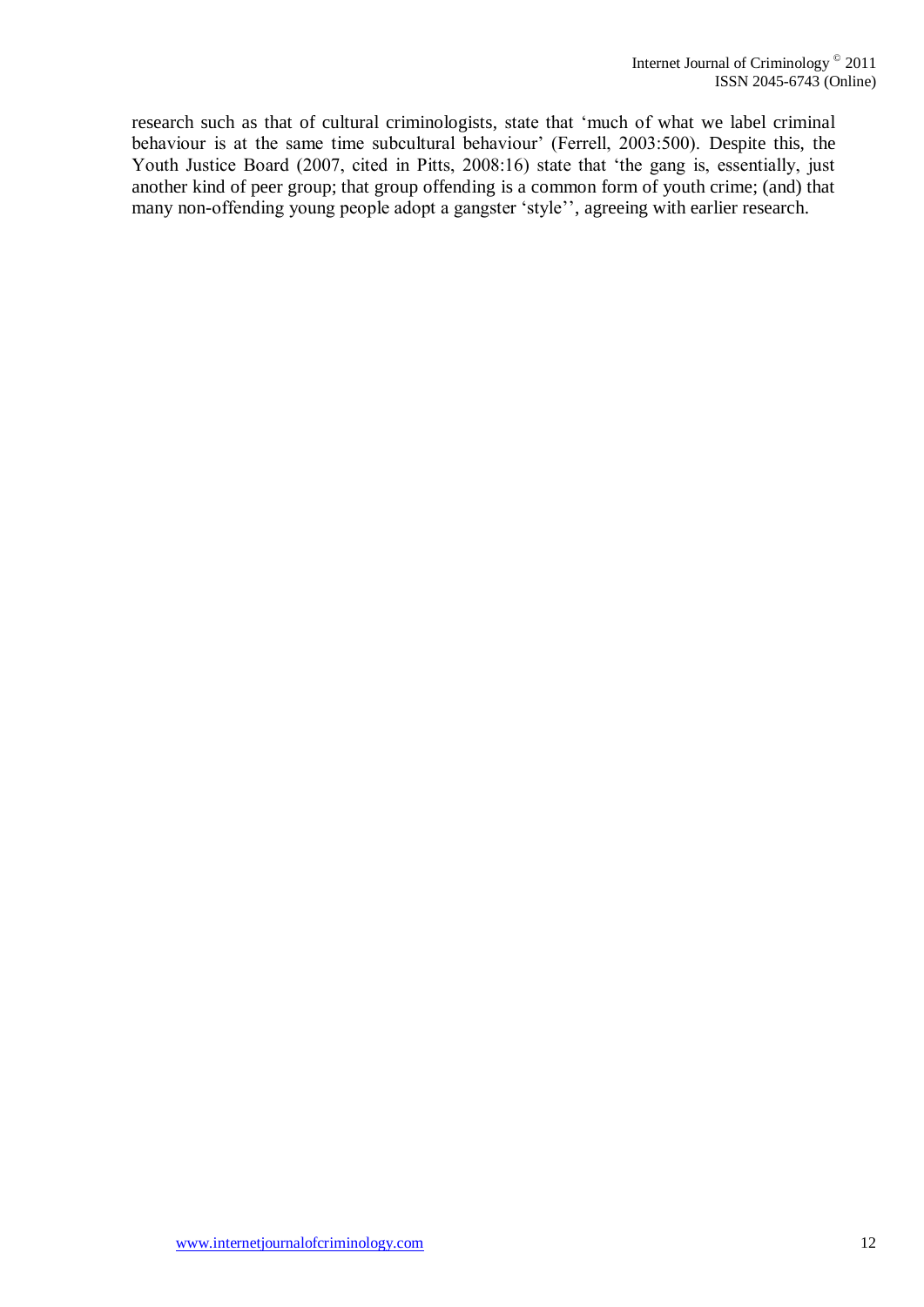research such as that of cultural criminologists, state that 'much of what we label criminal behaviour is at the same time subcultural behaviour' (Ferrell, 2003:500). Despite this, the Youth Justice Board (2007, cited in Pitts, 2008:16) state that 'the gang is, essentially, just another kind of peer group; that group offending is a common form of youth crime; (and) that many non-offending young people adopt a gangster 'style'', agreeing with earlier research.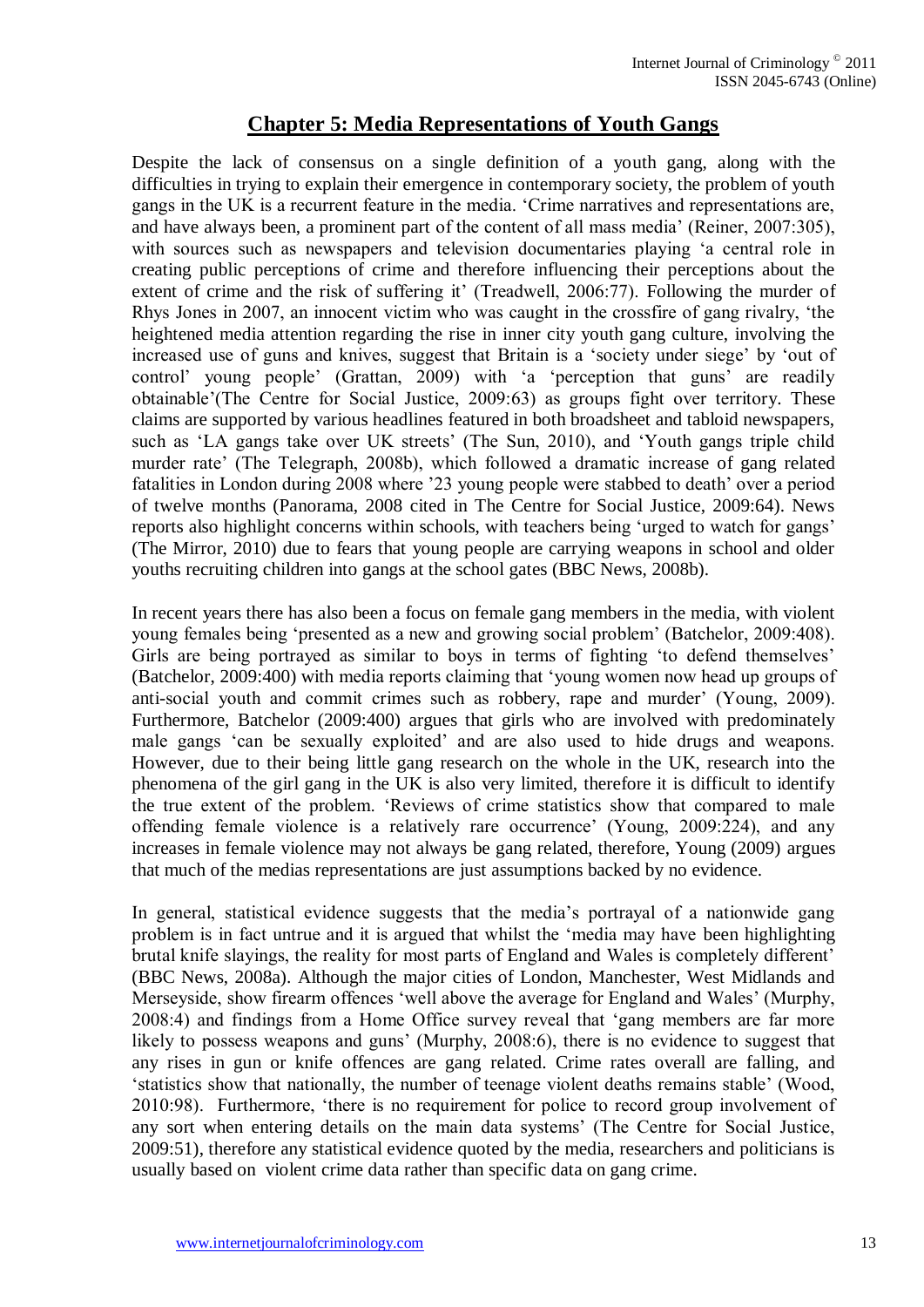# **Chapter 5: Media Representations of Youth Gangs**

Despite the lack of consensus on a single definition of a youth gang, along with the difficulties in trying to explain their emergence in contemporary society, the problem of youth gangs in the UK is a recurrent feature in the media. 'Crime narratives and representations are, and have always been, a prominent part of the content of all mass media' (Reiner, 2007:305), with sources such as newspapers and television documentaries playing 'a central role in creating public perceptions of crime and therefore influencing their perceptions about the extent of crime and the risk of suffering it' (Treadwell, 2006:77). Following the murder of Rhys Jones in 2007, an innocent victim who was caught in the crossfire of gang rivalry, 'the heightened media attention regarding the rise in inner city youth gang culture, involving the increased use of guns and knives, suggest that Britain is a 'society under siege' by 'out of control' young people' (Grattan, 2009) with 'a 'perception that guns' are readily obtainable'(The Centre for Social Justice, 2009:63) as groups fight over territory. These claims are supported by various headlines featured in both broadsheet and tabloid newspapers, such as 'LA gangs take over UK streets' (The Sun, 2010), and 'Youth gangs triple child murder rate' (The Telegraph, 2008b), which followed a dramatic increase of gang related fatalities in London during 2008 where '23 young people were stabbed to death' over a period of twelve months (Panorama, 2008 cited in The Centre for Social Justice, 2009:64). News reports also highlight concerns within schools, with teachers being 'urged to watch for gangs' (The Mirror, 2010) due to fears that young people are carrying weapons in school and older youths recruiting children into gangs at the school gates (BBC News, 2008b).

In recent years there has also been a focus on female gang members in the media, with violent young females being 'presented as a new and growing social problem' (Batchelor, 2009:408). Girls are being portrayed as similar to boys in terms of fighting 'to defend themselves' (Batchelor, 2009:400) with media reports claiming that 'young women now head up groups of anti-social youth and commit crimes such as robbery, rape and murder' (Young, 2009). Furthermore, Batchelor (2009:400) argues that girls who are involved with predominately male gangs 'can be sexually exploited' and are also used to hide drugs and weapons. However, due to their being little gang research on the whole in the UK, research into the phenomena of the girl gang in the UK is also very limited, therefore it is difficult to identify the true extent of the problem. 'Reviews of crime statistics show that compared to male offending female violence is a relatively rare occurrence' (Young, 2009:224), and any increases in female violence may not always be gang related, therefore, Young (2009) argues that much of the medias representations are just assumptions backed by no evidence.

In general, statistical evidence suggests that the media's portrayal of a nationwide gang problem is in fact untrue and it is argued that whilst the 'media may have been highlighting brutal knife slayings, the reality for most parts of England and Wales is completely different' (BBC News, 2008a). Although the major cities of London, Manchester, West Midlands and Merseyside, show firearm offences 'well above the average for England and Wales' (Murphy, 2008:4) and findings from a Home Office survey reveal that 'gang members are far more likely to possess weapons and guns' (Murphy, 2008:6), there is no evidence to suggest that any rises in gun or knife offences are gang related. Crime rates overall are falling, and 'statistics show that nationally, the number of teenage violent deaths remains stable' (Wood, 2010:98). Furthermore, 'there is no requirement for police to record group involvement of any sort when entering details on the main data systems' (The Centre for Social Justice, 2009:51), therefore any statistical evidence quoted by the media, researchers and politicians is usually based on violent crime data rather than specific data on gang crime.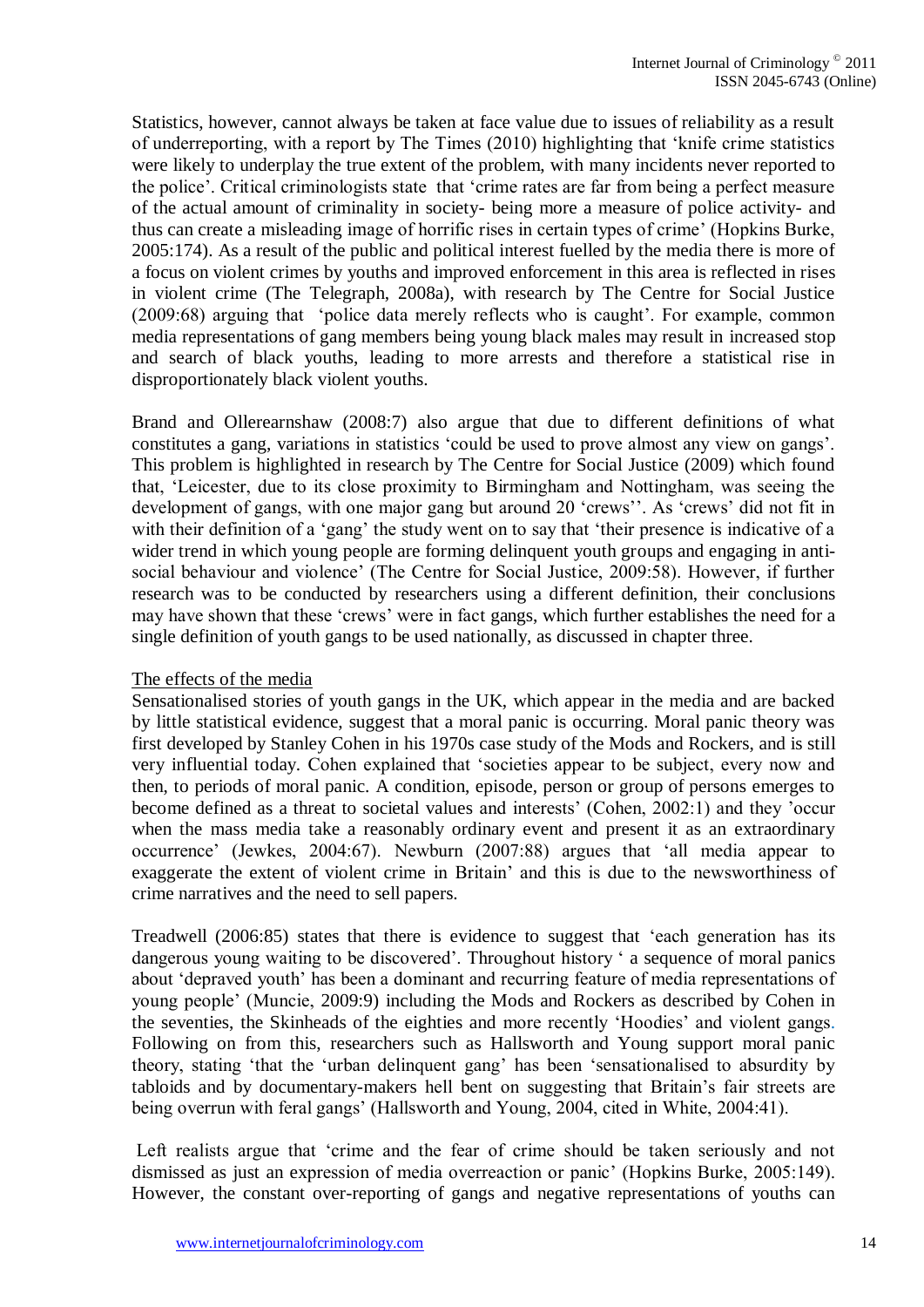Statistics, however, cannot always be taken at face value due to issues of reliability as a result of underreporting, with a report by The Times (2010) highlighting that 'knife crime statistics were likely to underplay the true extent of the problem, with many incidents never reported to the police'. Critical criminologists state that 'crime rates are far from being a perfect measure of the actual amount of criminality in society- being more a measure of police activity- and thus can create a misleading image of horrific rises in certain types of crime' (Hopkins Burke, 2005:174). As a result of the public and political interest fuelled by the media there is more of a focus on violent crimes by youths and improved enforcement in this area is reflected in rises in violent crime (The Telegraph, 2008a), with research by The Centre for Social Justice (2009:68) arguing that 'police data merely reflects who is caught'. For example, common media representations of gang members being young black males may result in increased stop and search of black youths, leading to more arrests and therefore a statistical rise in disproportionately black violent youths.

Brand and Ollerearnshaw (2008:7) also argue that due to different definitions of what constitutes a gang, variations in statistics 'could be used to prove almost any view on gangs'. This problem is highlighted in research by The Centre for Social Justice (2009) which found that, 'Leicester, due to its close proximity to Birmingham and Nottingham, was seeing the development of gangs, with one major gang but around 20 'crews''. As 'crews' did not fit in with their definition of a 'gang' the study went on to say that 'their presence is indicative of a wider trend in which young people are forming delinquent youth groups and engaging in antisocial behaviour and violence' (The Centre for Social Justice, 2009:58). However, if further research was to be conducted by researchers using a different definition, their conclusions may have shown that these 'crews' were in fact gangs, which further establishes the need for a single definition of youth gangs to be used nationally, as discussed in chapter three.

#### The effects of the media

Sensationalised stories of youth gangs in the UK, which appear in the media and are backed by little statistical evidence, suggest that a moral panic is occurring. Moral panic theory was first developed by Stanley Cohen in his 1970s case study of the Mods and Rockers, and is still very influential today. Cohen explained that 'societies appear to be subject, every now and then, to periods of moral panic. A condition, episode, person or group of persons emerges to become defined as a threat to societal values and interests' (Cohen, 2002:1) and they 'occur when the mass media take a reasonably ordinary event and present it as an extraordinary occurrence' (Jewkes, 2004:67). Newburn (2007:88) argues that 'all media appear to exaggerate the extent of violent crime in Britain' and this is due to the newsworthiness of crime narratives and the need to sell papers.

Treadwell (2006:85) states that there is evidence to suggest that 'each generation has its dangerous young waiting to be discovered'. Throughout history ' a sequence of moral panics about 'depraved youth' has been a dominant and recurring feature of media representations of young people' (Muncie, 2009:9) including the Mods and Rockers as described by Cohen in the seventies, the Skinheads of the eighties and more recently 'Hoodies' and violent gangs. Following on from this, researchers such as Hallsworth and Young support moral panic theory, stating 'that the 'urban delinquent gang' has been 'sensationalised to absurdity by tabloids and by documentary-makers hell bent on suggesting that Britain's fair streets are being overrun with feral gangs' (Hallsworth and Young, 2004, cited in White, 2004:41).

Left realists argue that 'crime and the fear of crime should be taken seriously and not dismissed as just an expression of media overreaction or panic' (Hopkins Burke, 2005:149). However, the constant over-reporting of gangs and negative representations of youths can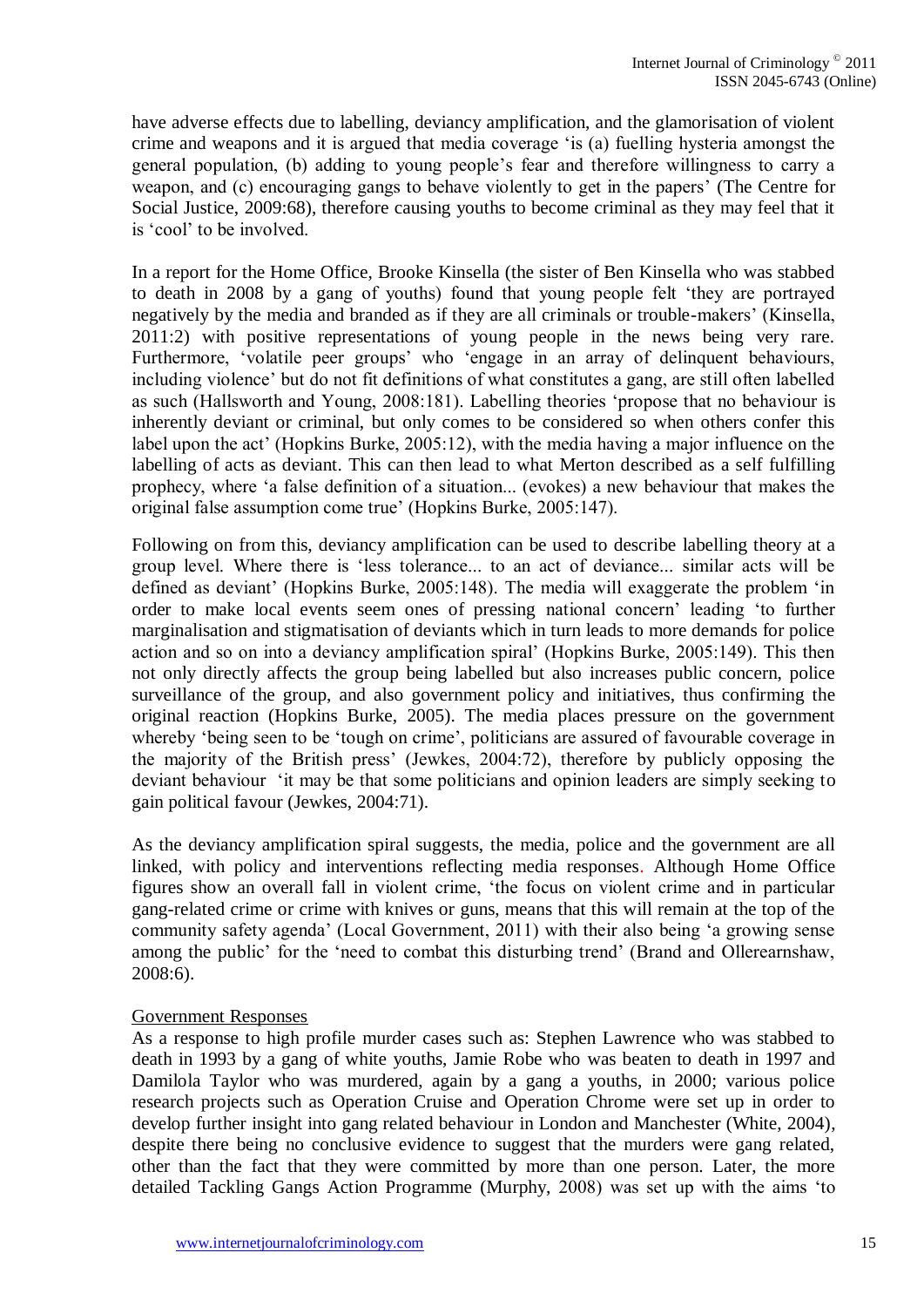have adverse effects due to labelling, deviancy amplification, and the glamorisation of violent crime and weapons and it is argued that media coverage 'is (a) fuelling hysteria amongst the general population, (b) adding to young people's fear and therefore willingness to carry a weapon, and (c) encouraging gangs to behave violently to get in the papers' (The Centre for Social Justice, 2009:68), therefore causing youths to become criminal as they may feel that it is 'cool' to be involved.

In a report for the Home Office, Brooke Kinsella (the sister of Ben Kinsella who was stabbed to death in 2008 by a gang of youths) found that young people felt 'they are portrayed negatively by the media and branded as if they are all criminals or trouble-makers' (Kinsella, 2011:2) with positive representations of young people in the news being very rare. Furthermore, 'volatile peer groups' who 'engage in an array of delinquent behaviours, including violence' but do not fit definitions of what constitutes a gang, are still often labelled as such (Hallsworth and Young, 2008:181). Labelling theories 'propose that no behaviour is inherently deviant or criminal, but only comes to be considered so when others confer this label upon the act' (Hopkins Burke, 2005:12), with the media having a major influence on the labelling of acts as deviant. This can then lead to what Merton described as a self fulfilling prophecy, where 'a false definition of a situation... (evokes) a new behaviour that makes the original false assumption come true' (Hopkins Burke, 2005:147).

Following on from this, deviancy amplification can be used to describe labelling theory at a group level. Where there is 'less tolerance... to an act of deviance... similar acts will be defined as deviant' (Hopkins Burke, 2005:148). The media will exaggerate the problem 'in order to make local events seem ones of pressing national concern' leading 'to further marginalisation and stigmatisation of deviants which in turn leads to more demands for police action and so on into a deviancy amplification spiral' (Hopkins Burke, 2005:149). This then not only directly affects the group being labelled but also increases public concern, police surveillance of the group, and also government policy and initiatives, thus confirming the original reaction (Hopkins Burke, 2005). The media places pressure on the government whereby 'being seen to be 'tough on crime', politicians are assured of favourable coverage in the majority of the British press' (Jewkes, 2004:72), therefore by publicly opposing the deviant behaviour 'it may be that some politicians and opinion leaders are simply seeking to gain political favour (Jewkes, 2004:71).

As the deviancy amplification spiral suggests, the media, police and the government are all linked, with policy and interventions reflecting media responses. Although Home Office figures show an overall fall in violent crime, 'the focus on violent crime and in particular gang-related crime or crime with knives or guns, means that this will remain at the top of the community safety agenda' (Local Government, 2011) with their also being 'a growing sense among the public' for the 'need to combat this disturbing trend' (Brand and Ollerearnshaw, 2008:6).

#### Government Responses

As a response to high profile murder cases such as: Stephen Lawrence who was stabbed to death in 1993 by a gang of white youths, Jamie Robe who was beaten to death in 1997 and Damilola Taylor who was murdered, again by a gang a youths, in 2000; various police research projects such as Operation Cruise and Operation Chrome were set up in order to develop further insight into gang related behaviour in London and Manchester (White, 2004), despite there being no conclusive evidence to suggest that the murders were gang related, other than the fact that they were committed by more than one person. Later, the more detailed Tackling Gangs Action Programme (Murphy, 2008) was set up with the aims 'to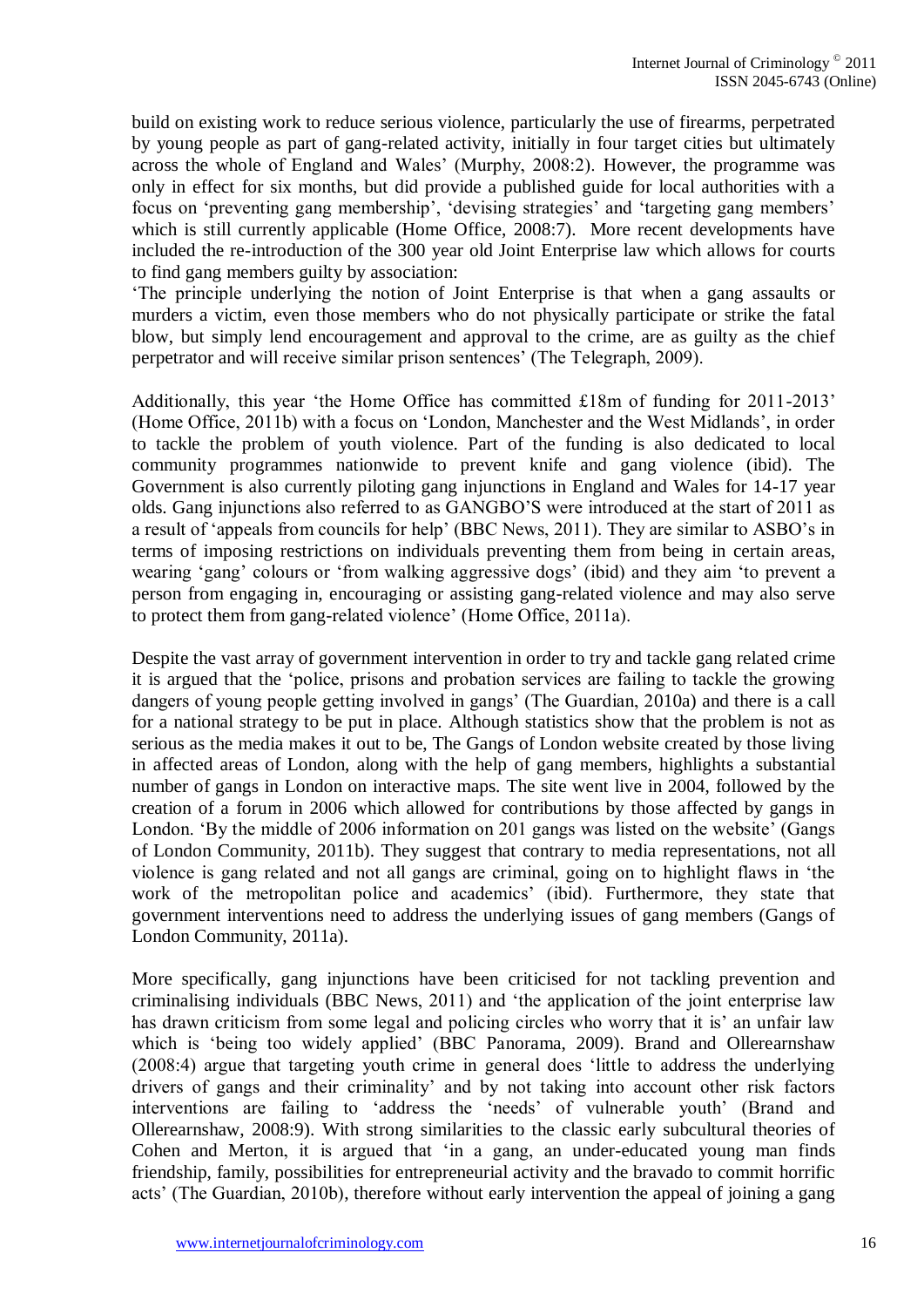build on existing work to reduce serious violence, particularly the use of firearms, perpetrated by young people as part of gang-related activity, initially in four target cities but ultimately across the whole of England and Wales' (Murphy, 2008:2). However, the programme was only in effect for six months, but did provide a published guide for local authorities with a focus on 'preventing gang membership', 'devising strategies' and 'targeting gang members' which is still currently applicable (Home Office, 2008:7). More recent developments have included the re-introduction of the 300 year old Joint Enterprise law which allows for courts to find gang members guilty by association:

'The principle underlying the notion of Joint Enterprise is that when a gang assaults or murders a victim, even those members who do not physically participate or strike the fatal blow, but simply lend encouragement and approval to the crime, are as guilty as the chief perpetrator and will receive similar prison sentences' (The Telegraph, 2009).

Additionally, this year 'the Home Office has committed £18m of funding for 2011-2013' (Home Office, 2011b) with a focus on 'London, Manchester and the West Midlands', in order to tackle the problem of youth violence. Part of the funding is also dedicated to local community programmes nationwide to prevent knife and gang violence (ibid). The Government is also currently piloting gang injunctions in England and Wales for 14-17 year olds. Gang injunctions also referred to as GANGBO'S were introduced at the start of 2011 as a result of 'appeals from councils for help' (BBC News, 2011). They are similar to ASBO's in terms of imposing restrictions on individuals preventing them from being in certain areas, wearing 'gang' colours or 'from walking aggressive dogs' (ibid) and they aim 'to prevent a person from engaging in, encouraging or assisting gang-related violence and may also serve to protect them from gang-related violence' (Home Office, 2011a).

Despite the vast array of government intervention in order to try and tackle gang related crime it is argued that the 'police, prisons and probation services are failing to tackle the growing dangers of young people getting involved in gangs' (The Guardian, 2010a) and there is a call for a national strategy to be put in place. Although statistics show that the problem is not as serious as the media makes it out to be, The Gangs of London website created by those living in affected areas of London, along with the help of gang members, highlights a substantial number of gangs in London on interactive maps. The site went live in 2004, followed by the creation of a forum in 2006 which allowed for contributions by those affected by gangs in London. 'By the middle of 2006 information on 201 gangs was listed on the website' (Gangs of London Community, 2011b). They suggest that contrary to media representations, not all violence is gang related and not all gangs are criminal, going on to highlight flaws in 'the work of the metropolitan police and academics' (ibid). Furthermore, they state that government interventions need to address the underlying issues of gang members (Gangs of London Community, 2011a).

More specifically, gang injunctions have been criticised for not tackling prevention and criminalising individuals (BBC News, 2011) and 'the application of the joint enterprise law has drawn criticism from some legal and policing circles who worry that it is' an unfair law which is 'being too widely applied' (BBC Panorama, 2009). Brand and Ollerearnshaw (2008:4) argue that targeting youth crime in general does 'little to address the underlying drivers of gangs and their criminality' and by not taking into account other risk factors interventions are failing to 'address the 'needs' of vulnerable youth' (Brand and Ollerearnshaw, 2008:9). With strong similarities to the classic early subcultural theories of Cohen and Merton, it is argued that 'in a gang, an under-educated young man finds friendship, family, possibilities for entrepreneurial activity and the bravado to commit horrific acts' (The Guardian, 2010b), therefore without early intervention the appeal of joining a gang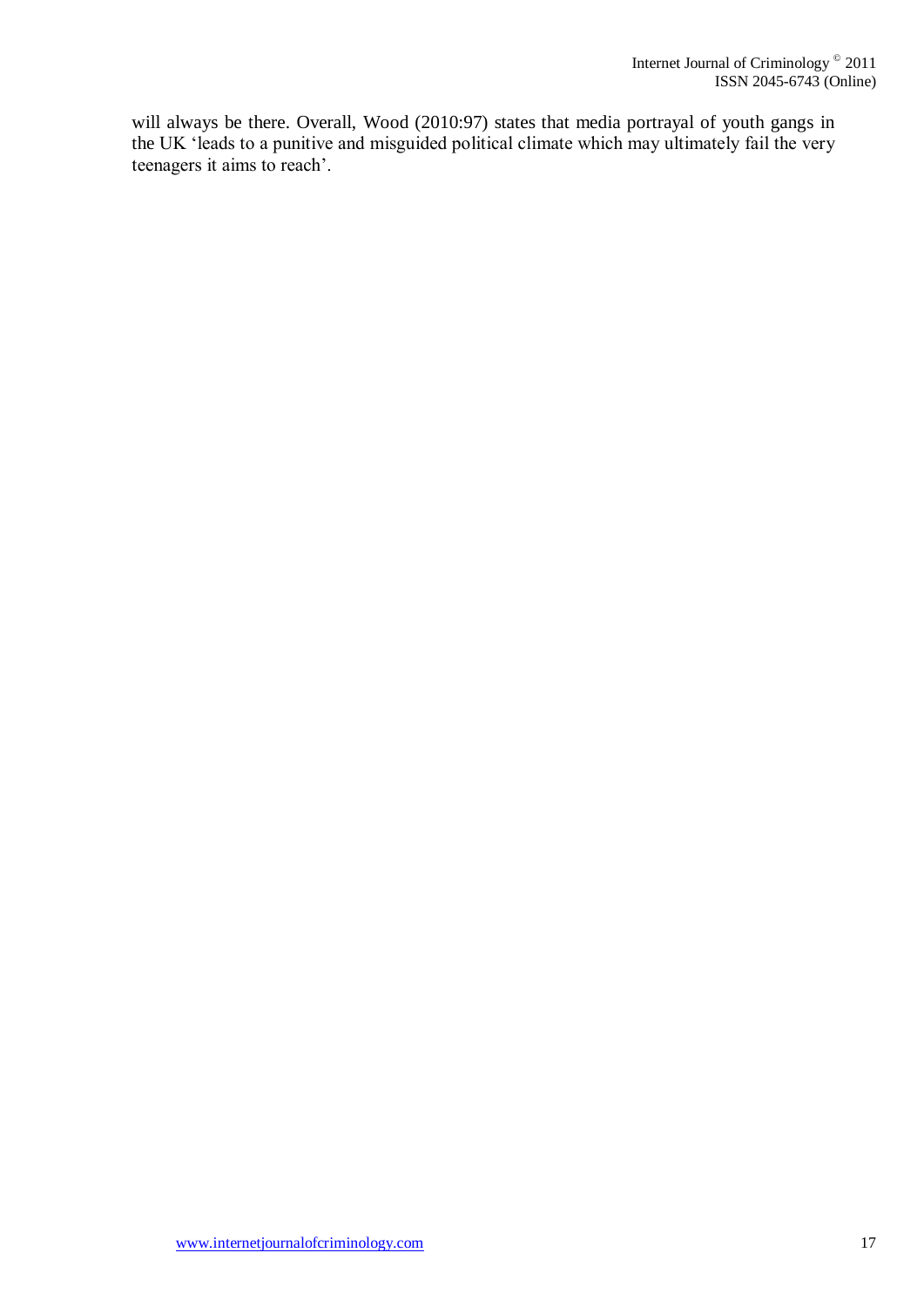will always be there. Overall, Wood (2010:97) states that media portrayal of youth gangs in the UK 'leads to a punitive and misguided political climate which may ultimately fail the very teenagers it aims to reach'.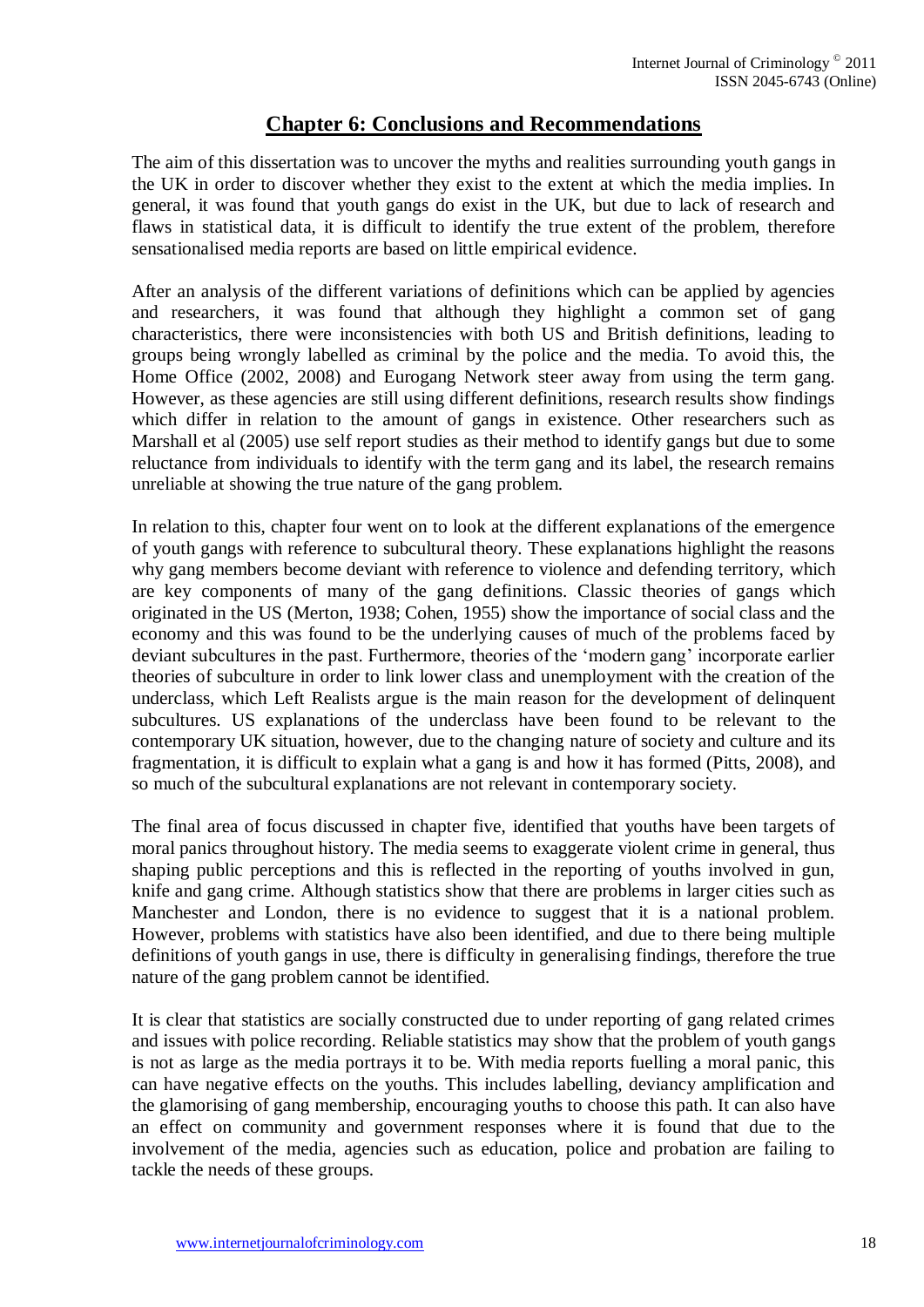# **Chapter 6: Conclusions and Recommendations**

The aim of this dissertation was to uncover the myths and realities surrounding youth gangs in the UK in order to discover whether they exist to the extent at which the media implies. In general, it was found that youth gangs do exist in the UK, but due to lack of research and flaws in statistical data, it is difficult to identify the true extent of the problem, therefore sensationalised media reports are based on little empirical evidence.

After an analysis of the different variations of definitions which can be applied by agencies and researchers, it was found that although they highlight a common set of gang characteristics, there were inconsistencies with both US and British definitions, leading to groups being wrongly labelled as criminal by the police and the media. To avoid this, the Home Office (2002, 2008) and Eurogang Network steer away from using the term gang. However, as these agencies are still using different definitions, research results show findings which differ in relation to the amount of gangs in existence. Other researchers such as Marshall et al (2005) use self report studies as their method to identify gangs but due to some reluctance from individuals to identify with the term gang and its label, the research remains unreliable at showing the true nature of the gang problem.

In relation to this, chapter four went on to look at the different explanations of the emergence of youth gangs with reference to subcultural theory. These explanations highlight the reasons why gang members become deviant with reference to violence and defending territory, which are key components of many of the gang definitions. Classic theories of gangs which originated in the US (Merton, 1938; Cohen, 1955) show the importance of social class and the economy and this was found to be the underlying causes of much of the problems faced by deviant subcultures in the past. Furthermore, theories of the 'modern gang' incorporate earlier theories of subculture in order to link lower class and unemployment with the creation of the underclass, which Left Realists argue is the main reason for the development of delinquent subcultures. US explanations of the underclass have been found to be relevant to the contemporary UK situation, however, due to the changing nature of society and culture and its fragmentation, it is difficult to explain what a gang is and how it has formed (Pitts, 2008), and so much of the subcultural explanations are not relevant in contemporary society.

The final area of focus discussed in chapter five, identified that youths have been targets of moral panics throughout history. The media seems to exaggerate violent crime in general, thus shaping public perceptions and this is reflected in the reporting of youths involved in gun, knife and gang crime. Although statistics show that there are problems in larger cities such as Manchester and London, there is no evidence to suggest that it is a national problem. However, problems with statistics have also been identified, and due to there being multiple definitions of youth gangs in use, there is difficulty in generalising findings, therefore the true nature of the gang problem cannot be identified.

It is clear that statistics are socially constructed due to under reporting of gang related crimes and issues with police recording. Reliable statistics may show that the problem of youth gangs is not as large as the media portrays it to be. With media reports fuelling a moral panic, this can have negative effects on the youths. This includes labelling, deviancy amplification and the glamorising of gang membership, encouraging youths to choose this path. It can also have an effect on community and government responses where it is found that due to the involvement of the media, agencies such as education, police and probation are failing to tackle the needs of these groups.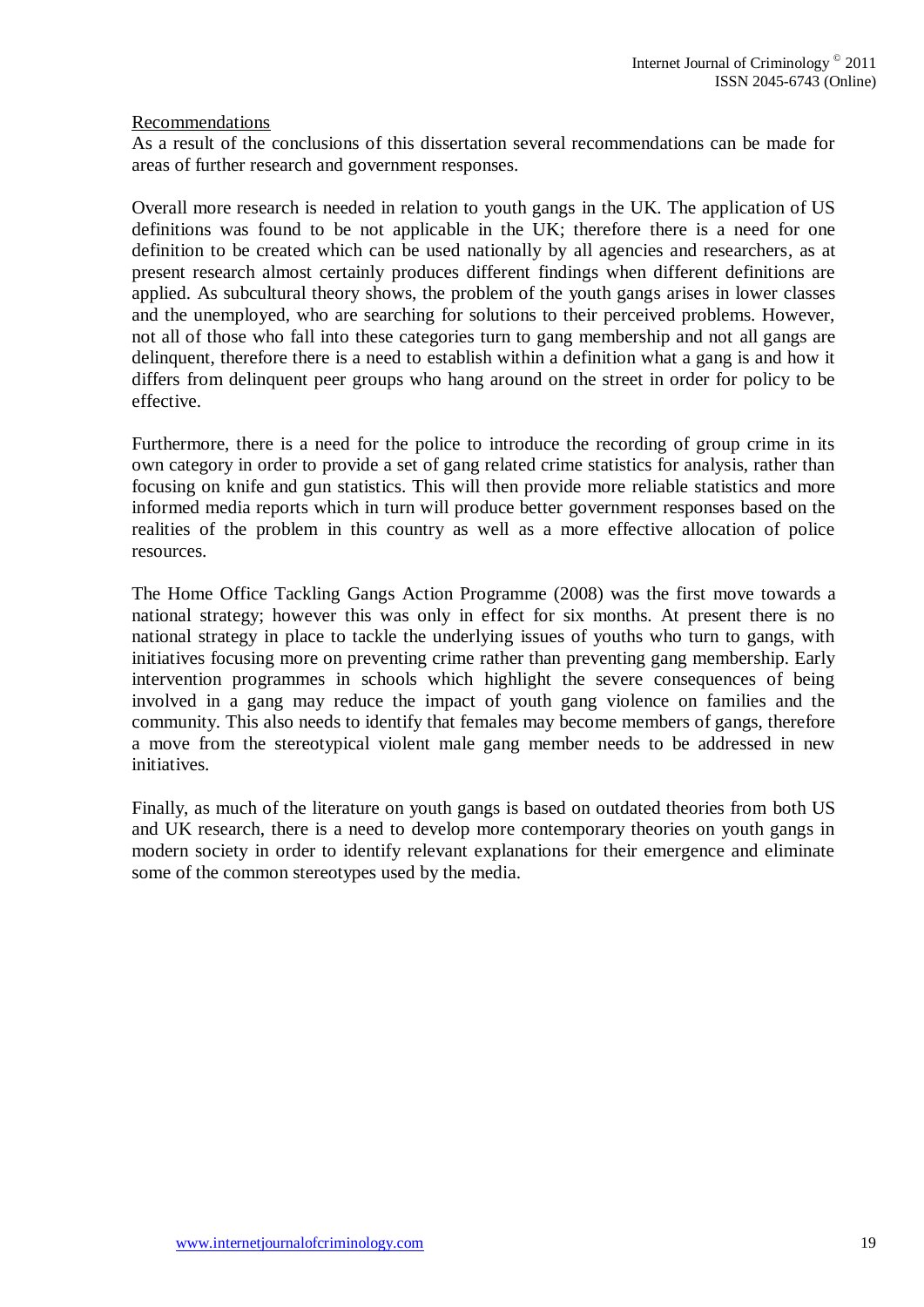#### Recommendations

As a result of the conclusions of this dissertation several recommendations can be made for areas of further research and government responses.

Overall more research is needed in relation to youth gangs in the UK. The application of US definitions was found to be not applicable in the UK; therefore there is a need for one definition to be created which can be used nationally by all agencies and researchers, as at present research almost certainly produces different findings when different definitions are applied. As subcultural theory shows, the problem of the youth gangs arises in lower classes and the unemployed, who are searching for solutions to their perceived problems. However, not all of those who fall into these categories turn to gang membership and not all gangs are delinquent, therefore there is a need to establish within a definition what a gang is and how it differs from delinquent peer groups who hang around on the street in order for policy to be effective.

Furthermore, there is a need for the police to introduce the recording of group crime in its own category in order to provide a set of gang related crime statistics for analysis, rather than focusing on knife and gun statistics. This will then provide more reliable statistics and more informed media reports which in turn will produce better government responses based on the realities of the problem in this country as well as a more effective allocation of police resources.

The Home Office Tackling Gangs Action Programme (2008) was the first move towards a national strategy; however this was only in effect for six months. At present there is no national strategy in place to tackle the underlying issues of youths who turn to gangs, with initiatives focusing more on preventing crime rather than preventing gang membership. Early intervention programmes in schools which highlight the severe consequences of being involved in a gang may reduce the impact of youth gang violence on families and the community. This also needs to identify that females may become members of gangs, therefore a move from the stereotypical violent male gang member needs to be addressed in new initiatives.

Finally, as much of the literature on youth gangs is based on outdated theories from both US and UK research, there is a need to develop more contemporary theories on youth gangs in modern society in order to identify relevant explanations for their emergence and eliminate some of the common stereotypes used by the media.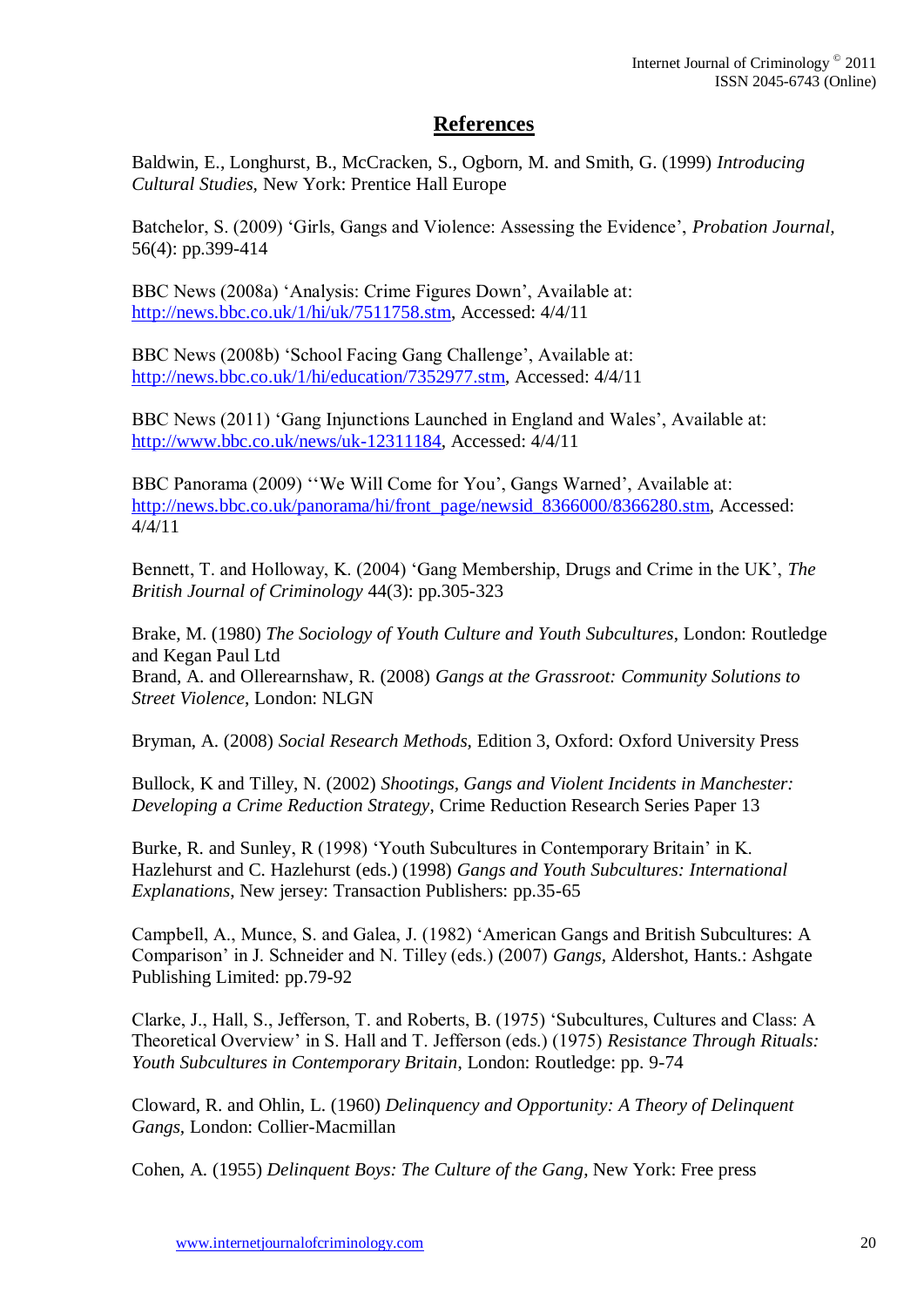# **References**

Baldwin, E., Longhurst, B., McCracken, S., Ogborn, M. and Smith, G. (1999) *Introducing Cultural Studies,* New York: Prentice Hall Europe

Batchelor, S. (2009) 'Girls, Gangs and Violence: Assessing the Evidence', *Probation Journal,*  56(4): pp.399-414

BBC News (2008a) 'Analysis: Crime Figures Down', Available at: [http://news.bbc.co.uk/1/hi/uk/7511758.stm,](http://news.bbc.co.uk/1/hi/uk/7511758.stm) Accessed: 4/4/11

BBC News (2008b) 'School Facing Gang Challenge', Available at: [http://news.bbc.co.uk/1/hi/education/7352977.stm,](http://news.bbc.co.uk/1/hi/education/7352977.stm) Accessed: 4/4/11

BBC News (2011) 'Gang Injunctions Launched in England and Wales', Available at: [http://www.bbc.co.uk/news/uk-12311184,](http://www.bbc.co.uk/news/uk-12311184) Accessed: 4/4/11

BBC Panorama (2009) ''We Will Come for You', Gangs Warned', Available at: [http://news.bbc.co.uk/panorama/hi/front\\_page/newsid\\_8366000/8366280.stm,](http://news.bbc.co.uk/panorama/hi/front_page/newsid_8366000/8366280.stm) Accessed: 4/4/11

Bennett, T. and Holloway, K. (2004) 'Gang Membership, Drugs and Crime in the UK', *The British Journal of Criminology* 44(3): pp.305-323

Brake, M. (1980) *The Sociology of Youth Culture and Youth Subcultures*, London: Routledge and Kegan Paul Ltd Brand, A. and Ollerearnshaw, R. (2008) *Gangs at the Grassroot: Community Solutions to Street Violence*, London: NLGN

Bryman, A. (2008) *Social Research Methods,* Edition 3, Oxford: Oxford University Press

Bullock, K and Tilley, N. (2002) *Shootings, Gangs and Violent Incidents in Manchester: Developing a Crime Reduction Strategy*, Crime Reduction Research Series Paper 13

Burke, R. and Sunley, R (1998) 'Youth Subcultures in Contemporary Britain' in K. Hazlehurst and C. Hazlehurst (eds.) (1998) *Gangs and Youth Subcultures: International Explanations*, New jersey: Transaction Publishers: pp.35-65

Campbell, A., Munce, S. and Galea, J. (1982) 'American Gangs and British Subcultures: A Comparison' in J. Schneider and N. Tilley (eds.) (2007) *Gangs,* Aldershot, Hants.: Ashgate Publishing Limited: pp.79-92

Clarke, J., Hall, S., Jefferson, T. and Roberts, B. (1975) 'Subcultures, Cultures and Class: A Theoretical Overview' in S. Hall and T. Jefferson (eds.) (1975) *Resistance Through Rituals: Youth Subcultures in Contemporary Britain*, London: Routledge: pp. 9-74

Cloward, R. and Ohlin, L. (1960) *Delinquency and Opportunity: A Theory of Delinquent Gangs,* London: Collier-Macmillan

Cohen, A. (1955) *Delinquent Boys: The Culture of the Gang*, New York: Free press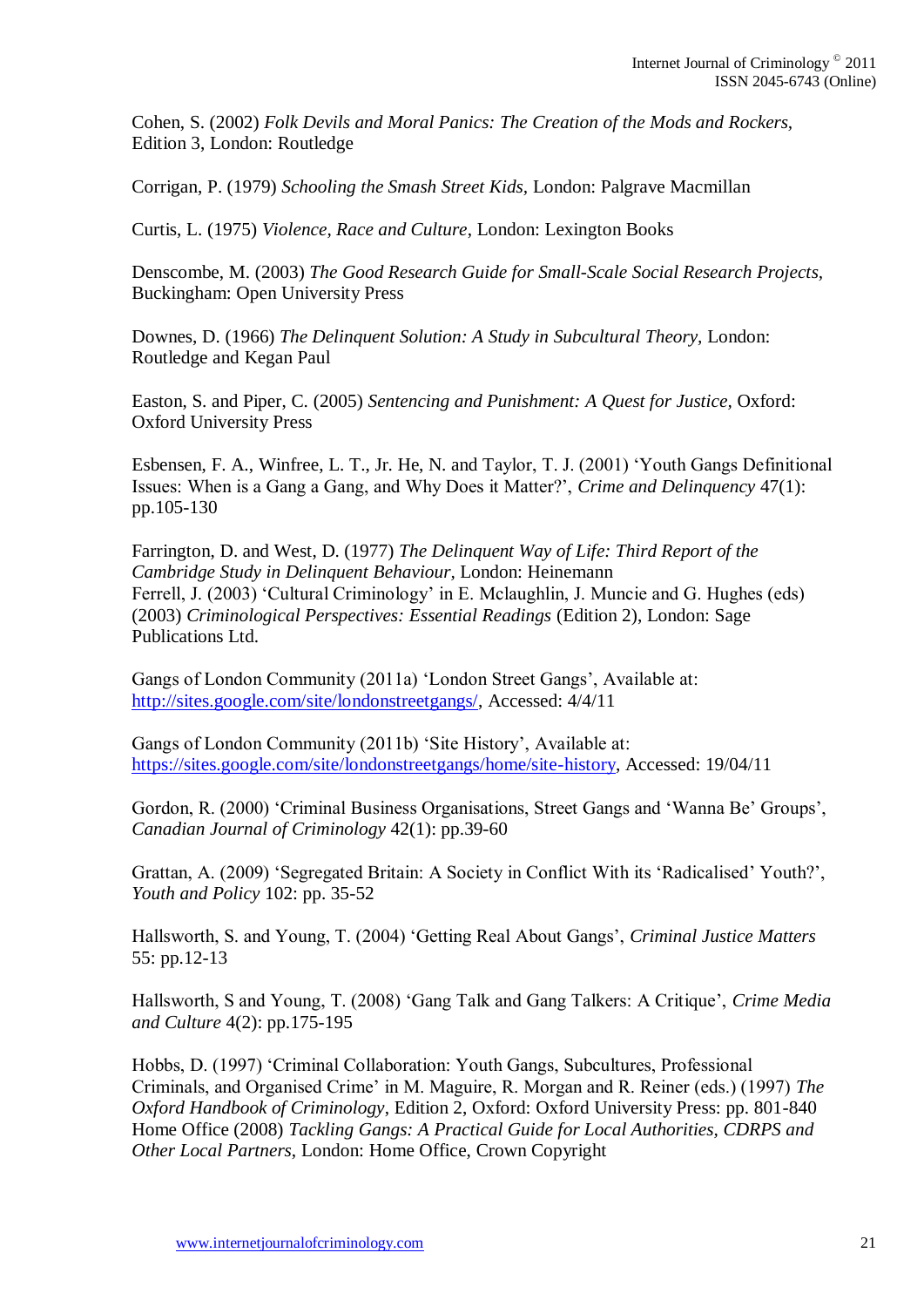Cohen, S. (2002) *Folk Devils and Moral Panics: The Creation of the Mods and Rockers,* Edition 3, London: Routledge

Corrigan, P. (1979) *Schooling the Smash Street Kids,* London: Palgrave Macmillan

Curtis, L. (1975) *Violence, Race and Culture*, London: Lexington Books

Denscombe, M. (2003) *The Good Research Guide for Small-Scale Social Research Projects,*  Buckingham: Open University Press

Downes, D. (1966) *The Delinquent Solution: A Study in Subcultural Theory,* London: Routledge and Kegan Paul

Easton, S. and Piper, C. (2005) *Sentencing and Punishment: A Quest for Justice,* Oxford: Oxford University Press

Esbensen, F. A., Winfree, L. T., Jr. He, N. and Taylor, T. J. (2001) 'Youth Gangs Definitional Issues: When is a Gang a Gang, and Why Does it Matter?', *Crime and Delinquency* 47(1): pp.105-130

Farrington, D. and West, D. (1977) *The Delinquent Way of Life: Third Report of the Cambridge Study in Delinquent Behaviour,* London: Heinemann Ferrell, J. (2003) 'Cultural Criminology' in E. Mclaughlin, J. Muncie and G. Hughes (eds) (2003) *Criminological Perspectives: Essential Readings* (Edition 2), London: Sage Publications Ltd.

Gangs of London Community (2011a) 'London Street Gangs', Available at: [http://sites.google.com/site/londonstreetgangs/,](http://sites.google.com/site/londonstreetgangs/) Accessed: 4/4/11

Gangs of London Community (2011b) 'Site History', Available at: [https://sites.google.com/site/londonstreetgangs/home/site-history,](https://sites.google.com/site/londonstreetgangs/home/site-history) Accessed: 19/04/11

Gordon, R. (2000) 'Criminal Business Organisations, Street Gangs and 'Wanna Be' Groups', *Canadian Journal of Criminology* 42(1): pp.39-60

Grattan, A. (2009) 'Segregated Britain: A Society in Conflict With its 'Radicalised' Youth?', *Youth and Policy* 102: pp. 35-52

Hallsworth, S. and Young, T. (2004) 'Getting Real About Gangs', *Criminal Justice Matters*  55: pp.12-13

Hallsworth, S and Young, T. (2008) 'Gang Talk and Gang Talkers: A Critique', *Crime Media and Culture* 4(2): pp.175-195

Hobbs, D. (1997) 'Criminal Collaboration: Youth Gangs, Subcultures, Professional Criminals, and Organised Crime' in M. Maguire, R. Morgan and R. Reiner (eds.) (1997) *The Oxford Handbook of Criminology*, Edition 2, Oxford: Oxford University Press: pp. 801-840 Home Office (2008) *Tackling Gangs: A Practical Guide for Local Authorities, CDRPS and Other Local Partners*, London: Home Office, Crown Copyright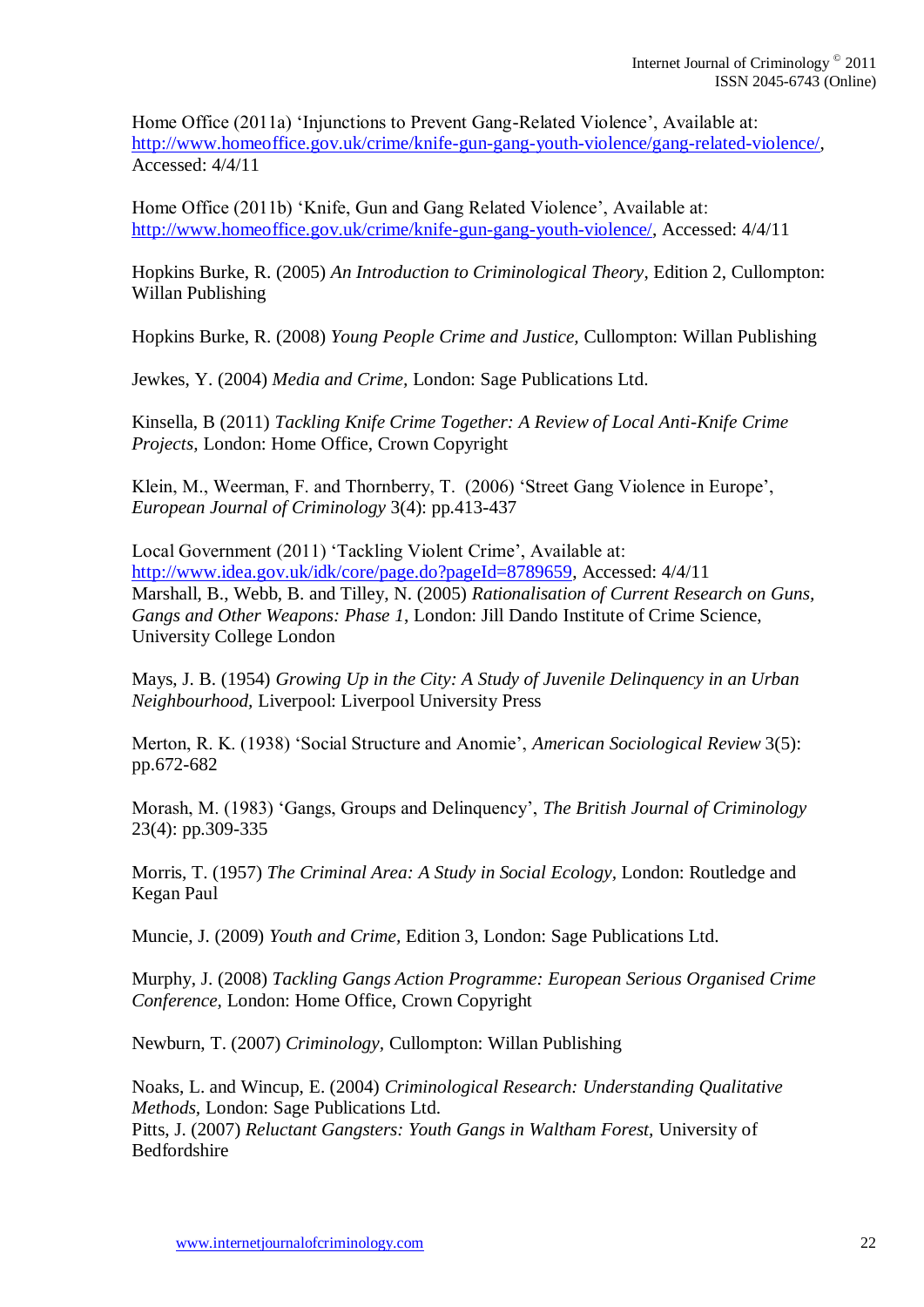Home Office (2011a) 'Injunctions to Prevent Gang-Related Violence', Available at: [http://www.homeoffice.gov.uk/crime/knife-gun-gang-youth-violence/gang-related-violence/,](http://www.homeoffice.gov.uk/crime/knife-gun-gang-youth-violence/gang-related-violence/) Accessed: 4/4/11

Home Office (2011b) 'Knife, Gun and Gang Related Violence', Available at: [http://www.homeoffice.gov.uk/crime/knife-gun-gang-youth-violence/,](http://www.homeoffice.gov.uk/crime/knife-gun-gang-youth-violence/) Accessed: 4/4/11

Hopkins Burke, R. (2005) *An Introduction to Criminological Theory*, Edition 2, Cullompton: Willan Publishing

Hopkins Burke, R. (2008) *Young People Crime and Justice,* Cullompton: Willan Publishing

Jewkes, Y. (2004) *Media and Crime,* London: Sage Publications Ltd.

Kinsella, B (2011) *Tackling Knife Crime Together: A Review of Local Anti-Knife Crime Projects,* London: Home Office, Crown Copyright

Klein, M., Weerman, F. and Thornberry, T. (2006) 'Street Gang Violence in Europe', *European Journal of Criminology* 3(4): pp.413-437

Local Government (2011) 'Tackling Violent Crime', Available at: [http://www.idea.gov.uk/idk/core/page.do?pageId=8789659,](http://www.idea.gov.uk/idk/core/page.do?pageId=8789659) Accessed: 4/4/11 Marshall, B., Webb, B. and Tilley, N. (2005) *Rationalisation of Current Research on Guns, Gangs and Other Weapons: Phase 1*, London: Jill Dando Institute of Crime Science, University College London

Mays, J. B. (1954) *Growing Up in the City: A Study of Juvenile Delinquency in an Urban Neighbourhood,* Liverpool: Liverpool University Press

Merton, R. K. (1938) 'Social Structure and Anomie', *American Sociological Review* 3(5): pp.672-682

Morash, M. (1983) 'Gangs, Groups and Delinquency', *The British Journal of Criminology* 23(4): pp.309-335

Morris, T. (1957) *The Criminal Area: A Study in Social Ecology,* London: Routledge and Kegan Paul

Muncie, J. (2009) *Youth and Crime,* Edition 3, London: Sage Publications Ltd.

Murphy, J. (2008) *Tackling Gangs Action Programme: European Serious Organised Crime Conference,* London: Home Office, Crown Copyright

Newburn, T. (2007) *Criminology,* Cullompton: Willan Publishing

Noaks, L. and Wincup, E. (2004) *Criminological Research: Understanding Qualitative Methods,* London: Sage Publications Ltd.

Pitts, J. (2007) *Reluctant Gangsters: Youth Gangs in Waltham Forest,* University of Bedfordshire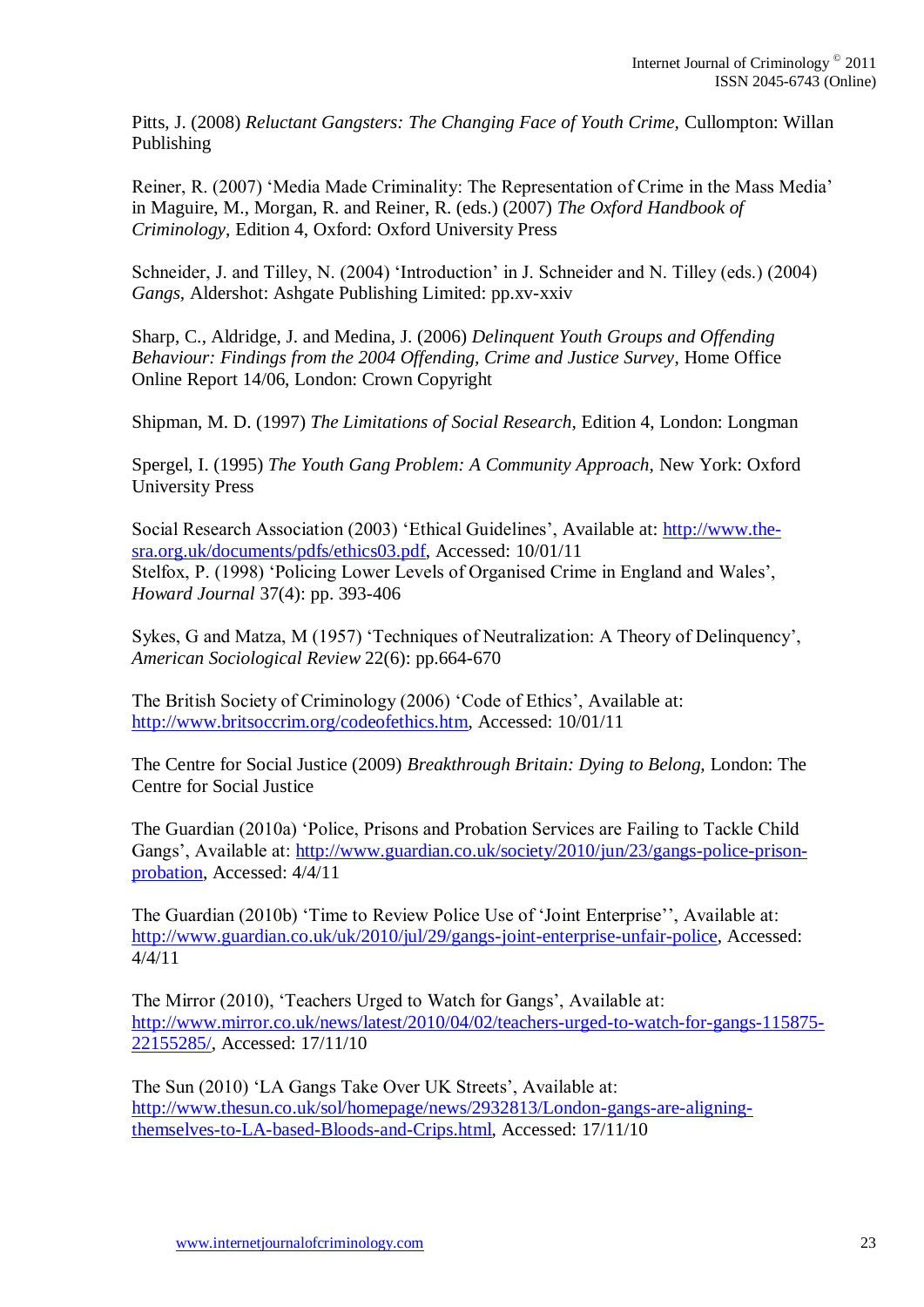Pitts, J. (2008) *Reluctant Gangsters: The Changing Face of Youth Crime,* Cullompton: Willan Publishing

Reiner, R. (2007) 'Media Made Criminality: The Representation of Crime in the Mass Media' in Maguire, M., Morgan, R. and Reiner, R. (eds.) (2007) *The Oxford Handbook of Criminology*, Edition 4, Oxford: Oxford University Press

Schneider, J. and Tilley, N. (2004) 'Introduction' in J. Schneider and N. Tilley (eds.) (2004) *Gangs,* Aldershot: Ashgate Publishing Limited: pp.xv-xxiv

Sharp, C., Aldridge, J. and Medina, J. (2006) *Delinquent Youth Groups and Offending Behaviour: Findings from the 2004 Offending, Crime and Justice Survey*, Home Office Online Report 14/06, London: Crown Copyright

Shipman, M. D. (1997) *The Limitations of Social Research,* Edition 4, London: Longman

Spergel, I. (1995) *The Youth Gang Problem: A Community Approach,* New York: Oxford University Press

Social Research Association (2003) 'Ethical Guidelines', Available at: [http://www.the](http://www.the-sra.org.uk/documents/pdfs/ethics03.pdf)[sra.org.uk/documents/pdfs/ethics03.pdf,](http://www.the-sra.org.uk/documents/pdfs/ethics03.pdf) Accessed: 10/01/11 Stelfox, P. (1998) 'Policing Lower Levels of Organised Crime in England and Wales', *Howard Journal* 37(4): pp. 393-406

Sykes, G and Matza, M (1957) 'Techniques of Neutralization: A Theory of Delinquency', *American Sociological Review* 22(6): pp.664-670

The British Society of Criminology (2006) 'Code of Ethics', Available at: [http://www.britsoccrim.org/codeofethics.htm,](http://www.britsoccrim.org/codeofethics.htm) Accessed: 10/01/11

The Centre for Social Justice (2009) *Breakthrough Britain: Dying to Belong,* London: The Centre for Social Justice

The Guardian (2010a) 'Police, Prisons and Probation Services are Failing to Tackle Child Gangs', Available at: [http://www.guardian.co.uk/society/2010/jun/23/gangs-police-prison](http://www.guardian.co.uk/society/2010/jun/23/gangs-police-prison-probation)[probation,](http://www.guardian.co.uk/society/2010/jun/23/gangs-police-prison-probation) Accessed: 4/4/11

The Guardian (2010b) 'Time to Review Police Use of 'Joint Enterprise'', Available at: [http://www.guardian.co.uk/uk/2010/jul/29/gangs-joint-enterprise-unfair-police,](http://www.guardian.co.uk/uk/2010/jul/29/gangs-joint-enterprise-unfair-police) Accessed: 4/4/11

The Mirror (2010), 'Teachers Urged to Watch for Gangs', Available at: [http://www.mirror.co.uk/news/latest/2010/04/02/teachers-urged-to-watch-for-gangs-115875-](http://www.mirror.co.uk/news/latest/2010/04/02/teachers-urged-to-watch-for-gangs-115875-22155285/) [22155285/,](http://www.mirror.co.uk/news/latest/2010/04/02/teachers-urged-to-watch-for-gangs-115875-22155285/) Accessed: 17/11/10

The Sun (2010) 'LA Gangs Take Over UK Streets', Available at: [http://www.thesun.co.uk/sol/homepage/news/2932813/London-gangs-are-aligning](http://www.thesun.co.uk/sol/homepage/news/2932813/London-gangs-are-aligning-themselves-to-LA-based-Bloods-and-Crips.html)[themselves-to-LA-based-Bloods-and-Crips.html,](http://www.thesun.co.uk/sol/homepage/news/2932813/London-gangs-are-aligning-themselves-to-LA-based-Bloods-and-Crips.html) Accessed: 17/11/10